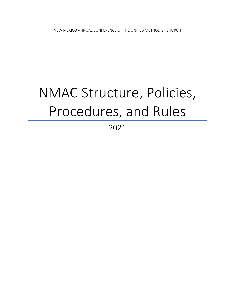# NMAC Structure, Policies, Procedures, and Rules

# 2021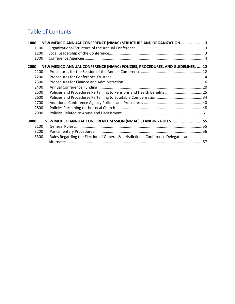# Table of Contents

| 1000 | NEW MEXICO ANNUAL CONFERENCE (NMAC) STRUCTURE AND ORGANIZATION. 3                 |  |
|------|-----------------------------------------------------------------------------------|--|
| 1100 |                                                                                   |  |
| 1200 |                                                                                   |  |
| 1300 |                                                                                   |  |
| 2000 | NEW MEXICO ANNUAL CONFERENCE (NMAC) POLICIES, PROCEDURES, AND GUIDELINES. 12      |  |
| 2100 |                                                                                   |  |
| 2200 |                                                                                   |  |
| 2300 |                                                                                   |  |
| 2400 |                                                                                   |  |
| 2500 | Policies and Procedures Pertaining to Pensions and Health Benefits  25            |  |
| 2600 |                                                                                   |  |
| 2700 |                                                                                   |  |
| 2800 |                                                                                   |  |
| 2900 |                                                                                   |  |
| 3000 | NEW MEXICO ANNUAL CONFERENCE SESSION (NMAC) STANDING RULES55                      |  |
| 3100 |                                                                                   |  |
| 3200 |                                                                                   |  |
| 3300 | Rules Regarding the Election of General & Jurisdictional Conference Delegates and |  |
|      |                                                                                   |  |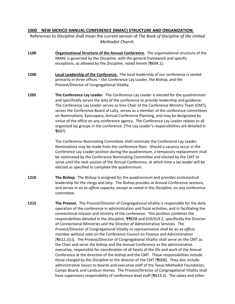# <span id="page-2-0"></span>**1000 NEW MEXICO ANNUAL CONFERENCE (NMAC) STRUCTURE AND ORGANIZATION.**

References to *Discipline* shall mean the current version of *The Book of Discipline of the United Methodist Church.*

- <span id="page-2-1"></span>**1100 Organizational Structure of the Annual Conference**. The organizational structure of the NMAC is governed by the *Discipline*, with the general framework and specific exceptions, as allowed by the *Discipline*, noted herein [¶604.1].
- <span id="page-2-2"></span>**1200 Local Leadership of the Conference**. The local leadership of our conference is vested primarily in three offices – the Conference Lay Leader, the Bishop, and the Provost/Director of Congregational Vitality.
- **1205 The Conference Lay Leader**. The Conference Lay Leader is elected for the quadrennium and specifically serves the laity of the conference to provide leadership and guidance. The Conference Lay Leader serves as Vice-Chair of the Conference Ministry Team (CMT), serves the Conference Board of Laity, serves as a member of the conference committees on Nominations, Episcopacy, Annual Conference Planning, and may be designated by virtue of the office on any conference agency. The Conference Lay Leader relates to all organized lay groups in the conference. [The Lay Leader's responsibilities are detailed in ¶607]

The Conference Nominating Committee shall nominate the Conference Lay Leader. Nominations may be made from the conference floor. Should a vacancy occur in the Conference Lay Leader position during the quadrennium, a temporary replacement shall be nominated by the Conference Nominating Committee and elected by the CMT to serve until the next session of the Annual Conference, at which time a lay leader will be elected as specified to complete the quadrennium.

- **1210 The Bishop.** The Bishop is assigned for the quadrennium and provides ecclesiastical leadership for the clergy and laity. The Bishop presides at Annual Conference sessions, and serves in an *ex officio* capacity, except as noted in the *Discipline*, on any conference committee.
- **1215 The Provost.** The Provost/Director of Congregational Vitality is responsible for the daily operation of the conference in administration and fiscal activities, and in facilitating the connectional mission and ministry of the conference. This position combines the responsibilities detailed in the *Discipline*, ¶¶608 and 619/619.2, specifically the Director of Connectional Ministries and the Director of Administrative Services. The Provost/Director of Congregational Vitality or representative shall be an *ex officio* member without vote on the Conference Council on Finance and Administration [¶612.2(c)]. The Provost/Director of Congregational Vitality shall serve on the CMT as the Chair and serve the bishop and the Annual Conference as the administrative executive, responsible for coordination of all facets of the life and work of the Annual Conference at the direction of the bishop and the CMT. Those responsibilities include those charged by the *Discipline* to the director of the CMT [¶608]. They also include administrative liaison to boards and executive staff of the Texas Methodist Foundation, Camps Board, and Landsun Homes. The Provost/Director of Congregational Vitality shall have supervisory responsibility of conference level staff [¶619.2]. The salary and other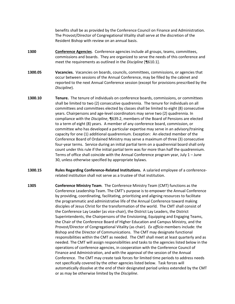benefits shall be as provided by the Conference Council on Finance and Administration. The Provost/Director of Congregational Vitality shall serve at the discretion of the Resident Bishop with review on an annual basis.

- <span id="page-3-0"></span>**1300 Conference Agencies**. Conference agencies include all groups, teams, committees, commissions and boards. They are organized to serve the needs of this conference and meet the requirements as outlined in the *Discipline* [¶610.1].
- **1300.05 Vacancies.** Vacancies on boards, councils, committees, commissions, or agencies that occur between sessions of the Annual Conference, may be filled by the cabinet and reported to the next Annual Conference session (except for provisions prescribed by the *Discipline*).
- **1300.10 Tenure.** The tenure of individuals on conference boards, commissions, or committees shall be limited to two (2) consecutive quadrennia. The tenure for individuals on all committees and committees elected by classes shall be limited to eight (8) consecutive years. Chairpersons and age-level coordinators may serve two (2) quadrennia. In compliance with the *Discipline*, ¶639.2, members of the Board of Pensions are elected to a term of eight (8) years. A member of any conference board, commission, or committee who has developed a particular expertise may serve in an advisory/training capacity for one (1) additional quadrennium. Exception: An elected member of the Conference Board of Ordained Ministry may serve a maximum of three (3) consecutive four-year terms. Service during an initial partial term on a quadrennial board shall only count under this rule if the initial partial term was for more than half the quadrennium. Terms of office shall coincide with the Annual Conference program year, July 1 – June 30, unless otherwise specified by appropriate bylaws.
- **1300.15 Rules Regarding Conference-Related Institutions.** A salaried employee of a conferencerelated institution shall not serve as a trustee of that institution.
- **1305 Conference Ministry Team**. The Conference Ministry Team (CMT) functions as the Conference Leadership Team. The CMT's purpose is to empower the Annual Conference by providing, coordinating, facilitating, prioritizing and aligning resources to facilitate the programmatic and administrative life of the Annual Conference toward making disciples of Jesus Christ for the transformation of the world. The CMT shall consist of the Conference Lay Leader (as vice-chair), the District Lay Leaders, the District Superintendents, the Chairpersons of the Envisioning, Equipping and Engaging Teams, the Chair of the Conference Board of Higher Education and Campus Ministry, and the Provost/Director of Congregational Vitality (as chair). *Ex officio* members include: the Bishop and the Director of Communications. The CMT may designate functional responsibilities within the CMT as needed. The CMT shall meet at least quarterly and as needed. The CMT will assign responsibilities and tasks to the agencies listed below in the operations of conference agencies, in cooperation with the Conference Council of Finance and Administration, and with the approval of the session of the Annual Conference. The CMT may create task forces for limited time periods to address needs not specifically covered by the other agencies listed below. Task forces will automatically dissolve at the end of their designated period unless extended by the CMT or as may be otherwise limited by the *Discipline*.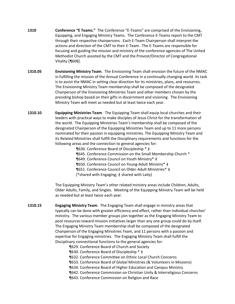- **1310 Conference "E Teams."** The Conference "E-Teams" are comprised of the Envisioning, Equipping, and Engaging Ministry Teams. The Conference E-Teams report to the CMT through their respective chairpersons. Each E-Team Chairperson shall interpret the actions and direction of the CMT to their E-Team. The E-Teams are responsible for focusing and guiding the mission and ministry of the conference agencies of The United Methodist Church assisted by the CMT and the Provost/Director of Congregational Vitality [¶608].
- **1310.05 Envisioning Ministry Team**. The Envisioning Team shall envision the future of the NMAC in fulfilling the mission of the Annual Conference in a continually changing world. Its task is to assist the NMAC in setting clear direction for its ministries, plans, and resources. The Envisioning Ministry Team membership shall be composed of the designated Chairperson of the Envisioning Ministries Team and other members chosen by the presiding bishop based on their gifts in discernment and visioning. The Envisioning Ministry Team will meet as needed but at least twice each year.
- **1310.10 Equipping Ministries Team**. The Equipping Team shall equip local churches and their leaders with practical ways to make disciples of Jesus Christ for the transformation of the world. The Equipping Ministries Team's membership shall be composed of the designated Chairperson of the Equipping Ministries Team and up to 11 more persons nominated for their passion in equipping ministries. The Equipping Ministry Team and its Related Ministries shall fulfill the Disciplinary requirements and functions for the following areas and the connection to general agencies for:
	- ¶630. Conference Board of Discipleship \* ǂ ¶645. Conference Commission on the Small Membership Church \* ¶649. Conference Council on Youth Ministry\* ǂ ¶650. Conference Council on Young-Adult Ministry\* ǂ ¶651. Conference Council on Older-Adult Ministries\* ǂ (\*shared with Engaging; ǂ shared with Laity)

The Equipping Ministry Team's other related ministry areas include Children, Adults, Older Adults, Family, and Singles. Meeting of the Equipping Ministry Team will be held as needed but at least twice each year.

- **1310.15 Engaging Ministry Team**. The Engaging Team shall engage in ministry areas that typically can be done with greater efficiency and effect, rather than individual churches' ministry. The various member groups join together as the Engaging Ministry Team to pool resources toward mission initiatives larger than any one group could do by itself. The Engaging Ministry Team membership shall be composed of the designated Chairperson of the Engaging Ministries Team, and 11 persons with a passion and expertise for Engaging ministries. The Engaging Ministry Team shall fulfill the Disciplinary connectional functions to the general agencies for:
	- ¶629. Conference Board of Church and Society
	- ¶630. Conference Board of Discipleship \* ǂ
	- ¶632. Conference Committee on Ethnic Local Church Concerns
	- ¶633. Conference Board of Global Ministries (& Volunteers in Missions)
	- ¶634. Conference Board of Higher Education and Campus Ministry
	- ¶642. Conference Commission on Christian Unity & Interreligious Concerns
	- ¶643. Conference Commission on Religion and Race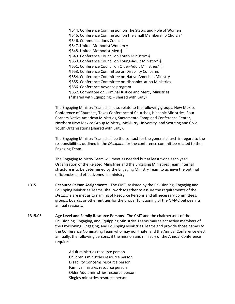¶644. Conference Commission on The Status and Role of Women ¶645. Conference Commission on the Small Membership Church \* ¶646. Communications Council ¶647. United Methodist Women ǂ ¶648. United Methodist Men ǂ ¶649. Conference Council on Youth Ministry\* ǂ ¶650. Conference Council on Young-Adult Ministry\* ǂ ¶651. Conference Council on Older-Adult Ministries\* ǂ ¶653. Conference Committee on Disability Concerns ¶654. Conference Committee on Native American Ministry ¶655. Conference Committee on Hispanic/Latino Ministries ¶656. Conference Advance program ¶657. Committee on Criminal Justice and Mercy Ministries (\*shared with Equipping; ǂ shared with Laity)

The Engaging Ministry Team shall also relate to the following groups: New Mexico Conference of Churches, Texas Conference of Churches, Hispanic Ministries, Four Corners Native American Ministries, Sacramento Camp and Conference Center, Northern New Mexico Group Ministry, McMurry University, and Scouting and Civic Youth Organizations (shared with Laity).

The Engaging Ministry Team shall be the contact for the general church in regard to the responsibilities outlined in the *Discipline* for the conference committee related to the Engaging Team.

The Engaging Ministry Team will meet as needed but at least twice each year. Organization of the Related Ministries and the Engaging Ministries Team internal structure is to be determined by the Engaging Ministry Team to achieve the optimal efficiencies and effectiveness in ministry.

- **1315 Resource Person Assignments**. The CMT, assisted by the Envisioning, Engaging and Equipping Ministries Teams, shall work together to assure the requirements of the *Discipline* are met as to naming of Resource Persons and all necessary committees, groups, boards, or other entities for the proper functioning of the NMAC between its annual sessions.
- **1315.05 Age Level and Family Resource Persons**. The CMT and the chairpersons of the Envisioning, Engaging, and Equipping Ministries Teams may select active members of the Envisioning, Engaging, and Equipping Ministries Teams and provide those names to the Conference Nominating Team who may nominate, and the Annual Conference elect annually, the following persons, if the mission and ministry of the Annual Conference requires:

Adult ministries resource person Children's ministries resource person Disability Concerns resource person Family ministries resource person Older Adult ministries resource person Singles ministries resource person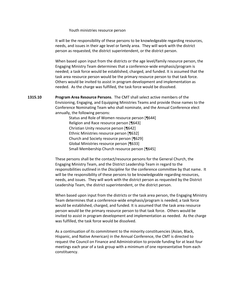#### Youth ministries resource person

It will be the responsibility of these persons to be knowledgeable regarding resources, needs, and issues in their age level or family area. They will work with the district person as requested, the district superintendent, or the district person.

When based upon input from the districts or the age level/family resource person, the Engaging Ministry Team determines that a conference-wide emphasis/program is needed; a task force would be established, charged, and funded. It is assumed that the task area resource person would be the primary resource person to that task force. Others would be invited to assist in program development and implementation as needed. As the charge was fulfilled, the task force would be dissolved.

**1315.10 Program Area Resource Persons**. The CMT shall select active members of the Envisioning, Engaging, and Equipping Ministries Teams and provide those names to the Conference Nominating Team who shall nominate, and the Annual Conference elect annually, the following persons:

> Status and Role of Women resource person [¶644] Religion and Race resource person [¶643] Christian Unity resource person [¶642] Ethnic Ministries resource person [¶632] Church and Society resource person [¶629] Global Ministries resource person [¶633] Small Membership Church resource person [¶645]

These persons shall be the contact/resource persons for the General Church, the Engaging Ministry Team, and the District Leadership Team in regard to the responsibilities outlined in the *Discipline* for the conference committee by that name. It will be the responsibility of these persons to be knowledgeable regarding resources, needs, and issues. They will work with the district person as requested by the District Leadership Team, the district superintendent, or the district person.

When based upon input from the districts or the task area person, the Engaging Ministry Team determines that a conference-wide emphasis/program is needed; a task force would be established, charged, and funded. It is assumed that the task area resource person would be the primary resource person to that task force. Others would be invited to assist in program development and implementation as needed. As the charge was fulfilled, the task force would be dissolved.

As a continuation of its commitment to the minority constituencies (Asian, Black, Hispanic, and Native American) in the Annual Conference, the CMT is directed to request the Council on Finance and Administration to provide funding for at least four meetings each year of a task group with a minimum of one representative from each constituency.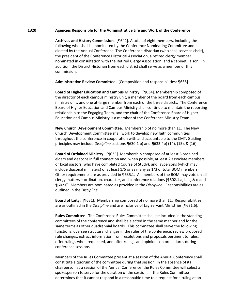### **1320 Agencies Responsible for the Administrative Life and Work of the Conference**

**Archives and History Commission**. [¶641]. A total of eight members, including the following who shall be nominated by the Conference Nominating Committee and elected by the Annual Conference: The Conference Historian (who shall serve as chair), the president of the Conference Historical Association, a retired clergy member nominated in consultation with the Retired Clergy Association, and a cabinet liaison. In addition, the District Historian from each district shall serve as a member of this commission.

**Administrative Review Committee.** [Composition and responsibilities: ¶636]

**Board of Higher Education and Campus Ministry.** [¶634]. Membership composed of the director of each campus ministry unit, a member of the board from each campus ministry unit, and one at-large member from each of the three districts. The Conference Board of Higher Education and Campus Ministry shall continue to maintain the reporting relationship to the Engaging Team, and the chair of the Conference Board of Higher Education and Campus Ministry is a member of the Conference Ministry Team.

**New Church Development Committee**. Membership of no more than 11. The New Church Development Committee shall work to develop new faith communities throughout the conference in cooperation with and accountable to the CMT. Guiding principles may include *Discipline* sections ¶630.1 b) and ¶633.4b) (14), (15), & (16).

**Board of Ordained Ministry.** [¶635]. Membership composed of at least 6 ordained elders and deacons in full connection and, when possible, at least 2 associate members or local pastors (who have completed Course of Study), and laypersons (which may include diaconal ministers) of at least 1/5 or as many as 1/3 of total BOM members. Other requirements are as provided in ¶635.1. All members of the BOM may vote on all clergy matters – ordination, character, and conference relations [¶602.1.a, b, c, & d and ¶602.6]. Members are nominated as provided in the *Discipline*. Responsibilities are as outlined in the *Discipline*.

**Board of Laity.** [¶631]. Membership composed of no more than 11. Responsibilities are as outlined in the *Discipline* and are inclusive of Lay Servant Ministries [¶631.6].

**Rules Committee**. The Conference Rules Committee shall be included in the standing committees of the conference and shall be elected in the same manner and for the same terms as other quadrennial boards. This committee shall serve the following functions: oversee structural changes in the rules of the conference, review proposed rule changes, extract information from resolutions and proposals pertinent to rules, offer rulings when requested, and offer rulings and opinions on procedures during conference sessions.

Members of the Rules Committee present at a session of the Annual Conference shall constitute a quorum of the committee during that session. In the absence of its chairperson at a session of the Annual Conference, the Rules Committee will select a spokesperson to serve for the duration of the session. If the Rules Committee determines that it cannot respond in a reasonable time to a request for a ruling at an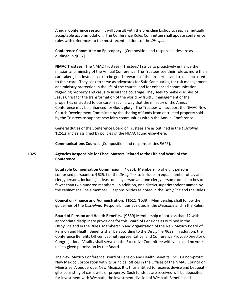Annual Conference session, it will consult with the presiding bishop to reach a mutually acceptable accommodation. The Conference Rules Committee shall update conference rules with references to the most recent editions of the *Discipline*.

**Conference Committee on Episcopacy.** [Composition and responsibilities are as outlined in ¶637].

**NMAC Trustees**. The NMAC Trustees ("Trustees") strive to proactively enhance the mission and ministry of the Annual Conference. The Trustees see their role as more than caretakers, but instead seek to be good stewards of the properties and trusts entrusted to their care. They seek to serve as advocates for Safe Sanctuaries, for risk management and ministry protection in the life of the church, and for enhanced communication regarding property and casualty insurance coverage. They seek to make disciples of Jesus Christ for the transformation of the world by fruitful management of the properties entrusted to our care in such a way that the ministry of the Annual Conference may be enhanced for God's glory. The Trustees will support the NMAC New Church Development Committee by the sharing of funds from entrusted property sold by the Trustees to support new faith communities within the Annual Conference.

General duties of the Conference Board of Trustees are as outlined in the *Discipline* ¶2512 and as assigned by policies of the NMAC found elsewhere.

**Communications Council.** [Composition and responsibilities ¶646].

# **1325 Agencies Responsible for Fiscal Matters Related to the Life and Work of the Conference**

**Equitable Compensation Commission.** [¶625]. Membership of eight persons, comprised pursuant to ¶625.1 of the *Discipline*, to include an equal number of lay and clergypersons, including at least one layperson and one clergyperson from churches of fewer than two hundred members. In addition, one district superintendent named by the cabinet shall be a member. Responsibilities as noted in the *Discipline* and the Rules.

**Council on Finance and Administration.** [¶611, ¶639]. Membership shall follow the guidelines of the *Discipline*. Responsibilities as noted in the *Discipline* and in the Rules.

**Board of Pension and Health Benefits.** [¶639] Membership of not less than 12 with appropriate disciplinary provisions for this Board of Pensions as outlined in the *Discipline* and in the Rules. Membership and organization of the New Mexico Board of Pension and Health Benefits shall be according to the *Discipline* ¶639. In addition, the Conference Benefits Officer, cabinet representative, and Conference Provost/Director of Congregational Vitality shall serve on the Executive Committee with voice and no vote unless given permission by the Board.

The New Mexico Conference Board of Pension and Health Benefits, Inc. is a non-profit New Mexico Corporation with its principal offices in the Offices of the NMAC Council on Ministries, Albuquerque, New Mexico. It is thus entitled to receive, devise and bequeath gifts consisting of cash, wills or property. Such funds as are received will be deposited for investment with Wespath, the investment division of Wespath Benefits and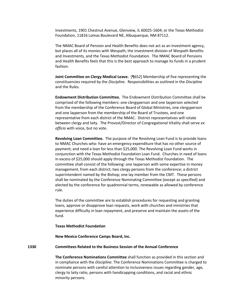Investments, 1901 Chestnut Avenue, Glenview, IL 60025-1604; or the Texas Methodist Foundation, 11816 Lomas Boulevard NE, Albuquerque, NM 87112.

The NMAC Board of Pension and Health Benefits does not act as an investment agency, but places all of its monies with Wespath, the investment division of Wespath Benefits and Investments*,* and the Texas Methodist Foundation. The NMAC Board of Pensions and Health Benefits feels that this is the best approach to manage its funds in a prudent fashion.

**Joint Committee on Clergy Medical Leave.** [¶652] Membership of five representing the constituencies required by the *Discipline*. Responsibilities as outlined in the *Discipline* and the Rules.

**Endowment Distribution Committee.** The Endowment Distribution Committee shall be comprised of the following members: one clergyperson and one layperson selected from the membership of the Conference Board of Global Ministries, one clergyperson and one layperson from the membership of the Board of Trustees, and one representative from each district of the NMAC. District representatives will rotate between clergy and laity. The Provost/Director of Congregational Vitality shall serve *ex officio* with voice, but no vote.

**Revolving Loan Committee.** The purpose of the Revolving Loan Fund is to provide loans to NMAC Churches who: have an emergency expenditure that has no other source of payment; and need a loan for less than \$25,000. The Revolving Loan Fund works in conjunction with the Texas Methodist Foundation Loan Fund. Churches in need of loans in excess of \$25,000 should apply through the Texas Methodist Foundation. The committee shall consist of the following: one layperson with some expertise in money management, from each district; two clergy persons from the conference; a district superintendent named by the Bishop; one lay member from the CMT. These persons shall be nominated by the Conference Nominating Committee (except as specified) and elected by the conference for quadrennial terms, renewable as allowed by conference rule.

The duties of the committee are to establish procedures for requesting and granting loans, approve or disapprove loan requests, work with churches and ministries that experience difficulty in loan repayment, and preserve and maintain the assets of the fund.

#### **Texas Methodist Foundation**

**New Mexico Conference Camps Board, Inc.**

## **1330 Committees Related to the Business Session of the Annual Conference**

**The Conference Nominations Committee** shall function as provided in this section and in compliance with the *Discipline*. The Conference Nominations Committee is charged to nominate persons with careful attention to inclusiveness issues regarding gender, age, clergy to laity ratio, persons with handicapping conditions, and racial and ethnic minority persons.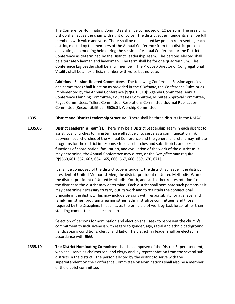The Conference Nominating Committee shall be composed of 10 persons. The presiding bishop shall act as the chair with right of voice. The district superintendents shall be full members with voice and vote. There shall be one elected lay person representing each district, elected by the members of the Annual Conference from that district present and voting at a meeting held during the session of Annual Conference or the District Conference as determined by the District Leadership Team. The persons elected shall be alternately layman and laywoman. The term shall be for one quadrennium. The Conference Lay Leader shall be a full member. The Provost/Director of Congregational Vitality shall be an ex officio member with voice but no vote.

**Additional Session-Related Committees.** The following Conference Session agencies and committees shall function as provided in the *Discipline*, the Conference Rules or as implemented by the Annual Conference [¶¶601, 610]: Agenda Committee, Annual Conference Planning Committee, Courtesies Committee, Minutes Approval Committee, Pages Committees, Tellers Committee, Resolutions Committee, Journal Publication Committee [Responsibilities: ¶606.3], Worship Committee.

**1335 District and District Leadership Structure.** There shall be three districts in the NMAC.

**1335.05 District Leadership Team(s).** There may be a District Leadership Team in each district to assist local churches to minister more effectively; to serve as a communication link between local churches of the Annual Conference and the general church. It may initiate programs for the district in response to local churches and sub-districts and perform functions of coordination, facilitation, and evaluation of the work of the district as it may determine, the Annual Conference may direct, or the *Discipline* may require [¶¶660,661, 662, 663, 664, 665, 666, 667, 668, 669, 670, 671].

> It shall be composed of the district superintendent, the district lay leader, the district president of United Methodist Men, the district president of United Methodist Women, the district president of United Methodist Youth, and such other representation from the district as the district may determine. Each district shall nominate such persons as it may determine necessary to carry out its work and to maintain the connectional principle in the district. This may include persons with responsibility for age level and family ministries, program area ministries, administrative committees, and those required by the Discipline. In each case, the principle of work by task force rather than standing committee shall be considered.

Selection of persons for nomination and election shall seek to represent the church's commitment to inclusiveness with regard to gender, age, racial and ethnic background, handicapping conditions, clergy, and laity. The district lay leader shall be elected in accordance with ¶660.

**1335.10 The District Nominating Committee** shall be composed of the District Superintendent, who shall serve as chairperson, and clergy and lay representation from the several subdistricts in the district. The person elected by the district to serve with the superintendent on the Conference Committee on Nominations shall also be a member of the district committee.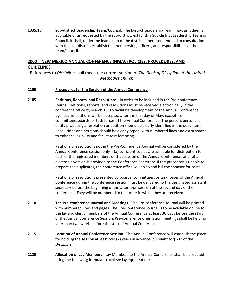**1335.15 Sub-district Leadership Team/Council**. The District Leadership Team may, as it deems advisable or as requested by the sub-district, establish a Sub-district Leadership Team or Council. It shall, under the leadership of the district superintendent and in consultation with the sub-district, establish the membership, officers, and responsibilities of the team/council.

# <span id="page-11-0"></span>**2000 NEW MEXICO ANNUAL CONFERENCE (NMAC) POLICIES, PROCEDURES, AND GUIDELINES.**

References to *Discipline* shall mean the current version of *The Book of Discipline of the United Methodist Church.*

# <span id="page-11-1"></span>**2100 Procedures for the Session of the Annual Conference**

**2105 Petitions, Reports, and Resolutions.** In order to be included in the Pre-conference Journal, petitions, reports, and resolutions must be received electronically in the conference office by March 15. To facilitate development of the Annual Conference agenda, no petitions will be accepted after the first day of May, except from committees, boards, or task forces of the Annual Conference. The person, persons, or entity proposing a resolution or petition should be clearly identified in the document. Resolutions and petitions should be clearly typed, with numbered lines and extra spaces to enhance legibility and facilitate referencing.

> Petitions or resolutions not in the Pre-Conference Journal will be considered by the Annual Conference session only if (a) sufficient copies are available for distribution to each of the registered members of that session of the Annual Conference, and (b) an electronic version is provided to the Conference Secretary. If the presenter is unable to prepare the duplicates, the conference office will do so and bill the sponsor for costs.

Petitions or resolutions presented by boards, committees, or task forces of the Annual Conference during the conference session must be delivered to the designated assistant secretary before the beginning of the afternoon session of the second day of the conference. They will be numbered in the order in which they are received.

- **2110 The Pre-conference Journal and Meetings**. The Pre-conference Journal will be printed with numbered lines and pages. The Pre-Conference Journal is to be available online to the lay and clergy members of the Annual Conference at least 30 days before the start of the Annual Conference Session. Pre-conference orientation meetings shall be held no later than two weeks before the start of Annual Conference.
- **2115 Location of Annual Conference Session**. The Annual Conference will establish the place for holding the session at least two (2) years in advance, pursuant to ¶603 of the *Discipline*.
- **2120 Allocation of Lay Members**. Lay Members to the Annual Conference shall be allocated using the following formula to achieve lay equalization: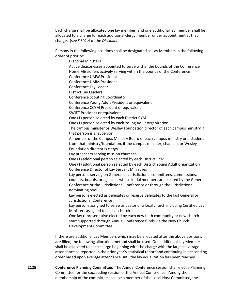Each charge shall be allocated one lay member, and one additional lay member shall be allocated to a charge for each additional clergy member under appointment at that charge. (see ¶602.4 of the *Discipline*)

Persons in the following positions shall be designated as Lay Members in the following order of priority:

Diaconal Ministers Active deaconesses appointed to serve within the bounds of the Conference Home Missioners actively serving within the bounds of the Conference Conference UMW President Conference UMM President Conference Lay Leader District Lay Leaders Conference Scouting Coordinator Conference Young Adult President or equivalent Conference CCYM President or equivalent SWIFT President or equivalent One (1) person selected by each District CYM One (1) person selected by each Young Adult organization The campus minister or Wesley Foundation director of each campus ministry if that person is a layperson A member of the Campus Ministry Board of each campus ministry or a student from that ministry/foundation, if the campus minister, chaplain, or Wesley Foundation director is clergy Lay preachers serving mission churches One (1) additional person selected by each District CYM One (1) additional person selected by each District Young Adult organization Conference Director of Lay Servant Ministries Lay persons serving on General or Jurisdictional committees, commissions, councils, boards, or agencies whose initial members are elected by the General Conference or the Jurisdictional Conference or through the jurisdictional nominating pool Lay persons elected as delegates or reserve delegates to the last General or Jurisdictional Conference Lay persons assigned to serve as pastor of a local church including Certified Lay Ministers assigned to a local church One lay representative elected by each new faith community or new church start supported through Annual Conference funds via the New Church Development Committee If there are additional Lay Members which may be allocated after the above positions

are filled, the following allocation method shall be used: One additional Lay Member shall be allocated to each charge beginning with the charge with the largest average attendance as reported in the prior year's statistical report and continuing in descending order based upon average attendance until the lay equalization has been reached.

**2125 Conference Planning Committee**. The Annual Conference session shall elect a Planning Committee for the succeeding session of the Annual Conference. Among the membership of the committee shall be a member of the Local Host Committee, the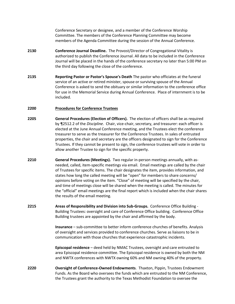Conference Secretary or designee, and a member of the Conference Worship Committee. The members of the Conference Planning Committee may become members of the Agenda Committee during the session of the Annual Conference.

- **2130 Conference Journal Deadline.** The Provost/Director of Congregational Vitality is authorized to publish the Conference Journal. All data to be included in the Conference Journal will be placed in the hands of the conference secretary no later than 5:00 PM on the third day following the close of the conference.
- **2135 Reporting Pastor or Pastor's Spouse's Death** The pastor who officiates at the funeral service of an active or retired minister, spouse or surviving spouse of the Annual Conference is asked to send the obituary or similar information to the conference office for use in the Memorial Service during Annual Conference. Place of internment is to be included.

#### <span id="page-13-0"></span>**2200 Procedures for Conference Trustees**

- **2205 General Procedures (Election of Officers).** The election of officers shall be as required by ¶2512.2 of the *Discipline*. Chair, vice-chair, secretary, and treasurer: each officer is elected at the June Annual Conference meeting, and the Trustees elect the conference treasurer to serve as the treasurer for the Conference Trustees. In sales of entrusted properties, the chair and secretary are the officers designated to sign for the Conference Trustees. If they cannot be present to sign, the conference trustees will vote in order to allow another Trustee to sign for the specific property.
- **2210 General Procedures (Meetings).** Two regular in-person meetings annually, with asneeded, called, item-specific meetings via email. Email meetings are called by the chair of Trustees for specific items. The chair designates the item, provides information, and states how long the called meeting will be "open" for members to share concerns/ opinions before voting on the item. "Close" of meeting will be specified by the chair, and time of meetings close will be shared when the meeting is called. The minutes for the "official" email meetings are the final report which is included when the chair shares the results of the email meeting.
- **2215 Areas of Responsibility and Division into Sub-Groups.** Conference Office Building Building Trustees: oversight and care of Conference Office building. Conference Office Building trustees are appointed by the chair and affirmed by the body.

**Insurance** – sub-committee to better inform conference churches of benefits. Analysis of oversight and services provided to conference churches. Serve as liaisons to be in communication with those churches that experience catastrophic incidents.

**Episcopal residence** – deed held by NMAC Trustees, oversight and care entrusted to area Episcopal residence committee. The Episcopal residence is owned by both the NM and NWTX conferences with NWTX owning 60% and NM owning 40% of the property.

**2220 Oversight of Conference-Owned Endowments**. Thaxton, Pippin, Trustees Endowment Funds. As the Board who oversees the funds which are entrusted to the NM Conference, the Trustees grant the authority to the Texas Methodist Foundation to oversee the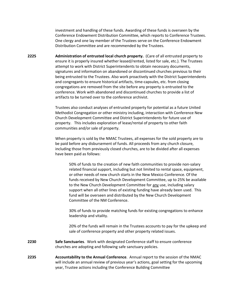investment and handling of these funds. Awarding of these funds is overseen by the Conference Endowment Distribution Committee, which reports to Conference Trustees. One clergy and one lay member of the Trustees serve on the Conference Endowment Distribution Committee and are recommended by the Trustees.

**2225 Administration of entrusted local church property.** (Care of all entrusted property to ensure it is properly insured whether leased/rented, listed for sale, etc.). The Trustees attempt to work with District Superintendents to obtain necessary documents, signatures and information on abandoned or discontinued churches previous to their being entrusted to the Trustees. Also work proactively with the District Superintendents and congregants to ensure historical artifacts, time-capsules, etc. from closing congregations are removed from the site before any property is entrusted to the conference. Work with abandoned and discontinued churches to provide a list of artifacts to be turned over to the conference archivist.

> Trustees also conduct analyses of entrusted property for potential as a future United Methodist Congregation or other ministry including, interaction with Conference New Church Development Committee and District Superintendents for future use of property. This includes exploration of lease/rental of property to other faith communities and/or sale of property.

> When property is sold by the NMAC Trustees, all expenses for the sold property are to be paid before any disbursement of funds. All proceeds from any church closure, including those from previously closed churches, are to be divided after all expenses have been paid as follows:

50% of funds to the creation of new faith communities to provide non-salary related financial support, including but not limited to rental space, equipment, or other needs of new church starts in the New Mexico Conference. Of the funds received by New Church Development Committee, up to 25% be available to the New Church Development Committee for any use, including salary support when all other lines of existing funding have already been used. This fund will be overseen and distributed by the New Church Development Committee of the NM Conference.

30% of funds to provide matching funds for existing congregations to enhance leadership and vitality.

20% of the funds will remain in the Trustees accounts to pay for the upkeep and sale of conference property and other property related issues.

- **2230 Safe Sanctuaries**. Work with designated Conference staff to ensure conference churches are adopting and following safe sanctuary policies.
- **2235 Accountability to the Annual Conference**. Annual report to the session of the NMAC will include an annual review of previous year's actions, goal setting for the upcoming year, Trustee actions including the Conference Building Committee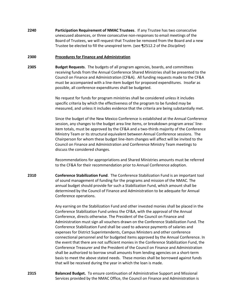**2240 Participation Requirement of NMAC Trustees**. If any Trustee has two consecutive unexcused absences, or three consecutive non-responses to email meetings of the Board of Trustees, we will request that Trustee be removed from the Board and a new Trustee be elected to fill the unexpired term. (see ¶2512.2 of the *Discipline*)

#### <span id="page-15-0"></span>**2300 Procedures for Finance and Administration**

**2305 Budget Requests**. The budgets of all program agencies, boards, and committees receiving funds from the Annual Conference Shared Ministries shall be presented to the Council on Finance and Administration (CF&A). All funding requests made to the CF&A must be accompanied with a line-item budget for proposed expenditures. Insofar as possible, all conference expenditures shall be budgeted.

> No request for funds for program ministries shall be considered unless it includes specific criteria by which the effectiveness of the program to be funded may be measured, and unless it includes evidence that the criteria are being substantially met.

Since the budget of the New Mexico Conference is established at the Annual Conference session, any changes to the budget area line items, or breakdown program areas' lineitem totals, must be approved by the CF&A and a two-thirds majority of the Conference Ministry Team or its structural equivalent between Annual Conference sessions. The Chairperson for whom these budget line-item changes will affect will be invited to the Council on Finance and Administration and Conference Ministry Team meetings to discuss the considered changes.

Recommendations for appropriations and Shared Ministries amounts must be referred to the CF&A for their recommendation prior to Annual Conference adoption.

**2310 Conference Stabilization Fund**. The Conference Stabilization Fund is an important tool of sound management of funding for the programs and mission of the NMAC. The annual budget should provide for such a Stabilization Fund, which amount shall be determined by the Council of Finance and Administration to be adequate for Annual Conference operations.

> Any earning on the Stabilization Fund and other invested monies shall be placed in the Conference Stabilization Fund unless the CF&A, with the approval of the Annual Conference, directs otherwise. The President of the Council on Finance and Administration must sign all vouchers drawn on the Conference Stabilization Fund. The Conference Stabilization Fund shall be used to advance payments of salaries and expenses for District Superintendents, Campus Ministers and other conference connectional personnel and for budgeted items approved by the Annual Conference. In the event that there are not sufficient monies in the Conference Stabilization Fund, the Conference Treasurer and the President of the Council on Finance and Administration shall be authorized to borrow small amounts from lending agencies on a short-term basis to meet the above stated needs. These monies shall be borrowed against funds that will be received during the year in which the loan is made.

**2315 Balanced Budget.** To ensure continuation of Administrative Support and Missional Services provided by the NMAC Office, the Council on Finance and Administration is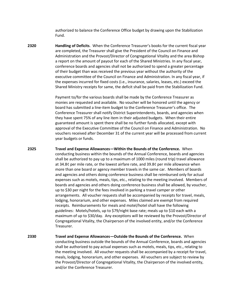authorized to balance the Conference Office budget by drawing upon the Stabilization Fund.

**2320 Handling of Deficits**. When the Conference Treasurer's books for the current fiscal year are completed, the Treasurer shall give the President of the Council on Finance and Administration and the Provost/Director of Congregational Vitality and the area Bishop a report on the amount of payout for each of the Shared Ministries. In any fiscal year, conference boards and agencies shall not be authorized to spend a greater percentage of their budget than was received the previous year without the authority of the executive committee of the Council on Finance and Administration. In any fiscal year, if the expenses incurred for fixed costs (i.e., insurance, salaries, leases, etc.) exceed the Shared Ministry receipts for same, the deficit shall be paid from the Stabilization Fund.

> Payment to/for the various boards shall be made by the Conference Treasurer as monies are requested and available. No voucher will be honored until the agency or board has submitted a line-item budget to the Conference Treasurer's office. The Conference Treasurer shall notify District Superintendents, boards, and agencies when they have spent 75% of any line item in their adjusted budgets. When their entire guaranteed amount is spent there shall be no further funds allocated, except with approval of the Executive Committee of the Council on Finance and Administration. No vouchers received after December 31 of the current year will be processed from current year budgets or funds.

**2325 Travel and Expense Allowances—Within the Bounds of the Conference.** When conducting business within the bounds of the Annual Conference, boards and agencies shall be authorized to pay up to a maximum of 1000 miles (round trip) travel allowance at 34.8¢ per mile rate, or the lowest airfare rate, and 39.8¢ per mile allowance when more than one board or agency member travels in the same car. Members of boards and agencies and others doing conference business shall be reimbursed only for actual expenses such as motels, meals, tips, etc., relating to the meeting involved. Members of boards and agencies and others doing conference business shall be allowed, by voucher, up to \$30 per night for the fees involved in parking a travel camper or other arrangements. All voucher requests shall be accompanied by receipts for travel, meals, lodging, honorarium, and other expenses. Miles claimed are exempt from required receipts. Reimbursements for meals and motel/hotel shall have the following guidelines: Motels/hotels, up to \$79/night base rate; meals up to \$10 each with a maximum of up to \$30/day. Any exceptions will be reviewed by the Provost/Director of Congregational Vitality, the Chairperson of the involved entity, and/or the Conference Treasurer.

**2330 Travel and Expense Allowances—Outside the Bounds of the Conference.** When conducting business outside the bounds of the Annual Conference, boards and agencies shall be authorized to pay actual expenses such as motels, meals, tips, etc., relating to the meeting involved. All voucher requests shall be accompanied by a receipt for travel, meals, lodging, honorarium, and other expenses. All vouchers are subject to review by the Provost/Director of Congregational Vitality, the Chairperson of the involved entity, and/or the Conference Treasurer.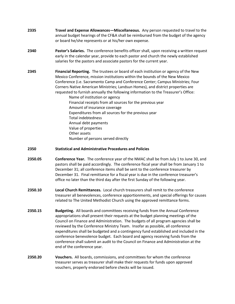- **2335 Travel and Expense Allowances—Miscellaneous.** Any person requested to travel to the annual budget hearings of the CF&A shall be reimbursed from the budget of the agency or board he/she represents or at his/her own expense.
- **2340 Pastor's Salaries.** The conference benefits officer shall, upon receiving a written request early in the calendar year, provide to each pastor and church the newly established salaries for the pastors and associate pastors for the current year.
- **2345 Financial Reporting.** The trustees or board of each institution or agency of the New Mexico Conference, mission institutions within the bounds of the New Mexico Conference (i.e. Sacramento Camp and Conference Center; Campus Ministries; Four Corners Native American Ministries; Landsun Homes), and district properties are requested to furnish annually the following information to the Treasurer's Office:

Name of institution or agency Financial receipts from all sources for the previous year Amount of insurance coverage Expenditures from all sources for the previous year Total indebtedness Annual debt payments Value of properties Other assets Number of persons served directly

- **2350 Statistical and Administrative Procedures and Policies**
- **2350.05 Conference Year.** The conference year of the NMAC shall be from July 1 to June 30, and pastors shall be paid accordingly. The conference fiscal year shall be from January 1 to December 31; all conference items shall be sent to the conference treasurer by December 31. Final remittance for a fiscal year is due in the conference treasurer's office no later than the third day after the first Sunday of the following year.
- **2350.10 Local Church Remittances.** Local church treasurers shall remit to the conference treasurer all benevolences, conference apportionments, and special offerings for causes related to The United Methodist Church using the approved remittance forms.
- **2350.15 Budgeting.** All boards and committees receiving funds from the Annual Conference appropriations shall present their requests at the budget planning meetings of the Council on Finance and Administration. The budgets of all program agencies shall be reviewed by the Conference Ministry Team. Insofar as possible, all conference expenditures shall be budgeted and a contingency fund established and included in the conference benevolence budget. Each board and agency receiving funds from the conference shall submit an audit to the Council on Finance and Administration at the end of the conference year.
- **2350.20 Vouchers.** All boards, commissions, and committees for whom the conference treasurer serves as treasurer shall make their requests for funds upon approved vouchers, properly endorsed before checks will be issued.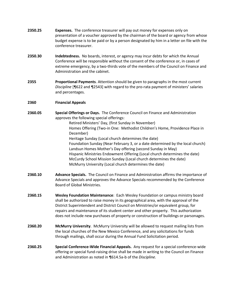| 2350.25 | <b>Expenses.</b> The conference treasurer will pay out money for expenses only on          |  |  |  |  |  |  |  |
|---------|--------------------------------------------------------------------------------------------|--|--|--|--|--|--|--|
|         | presentation of a voucher approved by the chairman of the board or agency from whose       |  |  |  |  |  |  |  |
|         | budget expense is to be paid or by a person designated by him in a letter on file with the |  |  |  |  |  |  |  |
|         | conference treasurer.                                                                      |  |  |  |  |  |  |  |

- **2350.30 Indebtedness.** No boards, interest, or agency may incur debts for which the Annual Conference will be responsible without the consent of the conference or, in cases of extreme emergency, by a two-thirds vote of the members of the Council on Finance and Administration and the cabinet.
- **2355 Proportional Payments**. Attention should be given to paragraphs in the most current *Discipline* [¶622 and ¶2543] with regard to the pro-rata payment of ministers' salaries and percentages.

# **2360 Financial Appeals**

- **2360.05 Special Offerings or Days.** The Conference Council on Finance and Administration approves the following special offerings:
	- Retired Ministers' Day, (first Sunday in November) Homes Offering (Two-in One: Methodist Children's Home, Providence Place in December) Heritage Sunday (Local church determines the date) Foundation Sunday (Near February 3, or a date determined by the local church) Landsun Homes Mother's Day offering (second Sunday in May) Hispanic Ministries Endowment Offering (Local church determines the date) McCurdy School Mission Sunday (Local church determines the date)
		- McMurry University (Local church determines the date)
- **2360.10 Advance Specials.** The Council on Finance and Administration affirms the importance of Advance Specials and approves the Advance Specials recommended by the Conference Board of Global Ministries.
- **2360.15 Wesley Foundation Maintenance**: Each Wesley Foundation or campus ministry board shall be authorized to raise money in its geographical area, with the approval of the District Superintendent and District Council on Ministries/or equivalent group, for repairs and maintenance of its student center and other property. This authorization does not include new purchases of property or construction of buildings or parsonages.
- **2360.20 McMurry University**. McMurry University will be allowed to request mailing lists from the local churches of the New Mexico Conference, and any solicitations for funds through mailings, shall occur during the Annual Fund Solicitation period.
- **2360.25 Special Conference-Wide Financial Appeals.** Any request for a special conference-wide offering or special fund-raising drive shall be made in writing to the Council on Finance and Administration as noted in ¶614.5a-b of the *Discipline.*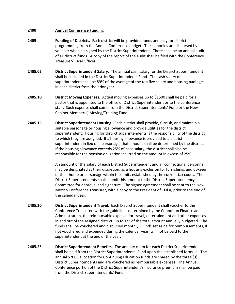# <span id="page-19-0"></span>**2400 Annual Conference Funding**

- **2405 Funding of Districts.** Each district will be provided funds annually for district programming from the Annual Conference budget. These monies are disbursed by voucher when co-signed by the District Superintendent.There shall be an annual audit of all district funds. A copy of the report of the audit shall be filed with the Conference Treasurer/Fiscal Officer.
- **2405.05 District Superintendent Salary.** The annual cash salary for the District Superintendent shall be included in the District Superintendents Fund. The cash salary of each superintendent shall be 89% of the average of the top five salary and housing packages in each district from the prior year.
- **2405.10 District Moving Expenses.** Actual moving expenses up to \$1500 shall be paid for a pastor that is appointed to the office of District Superintendent or to the conference staff. Such expense shall come from the District Superintendents' Fund or the New Cabinet Member(s) Moving/Training Fund.
- **2405.15 District Superintendent Housing**. Each district shall provide, furnish, and maintain a suitable parsonage or housing allowance and provide utilities for the district superintendent. Housing for district superintendents is the responsibility of the district to which they are assigned. If a housing allowance is provided to a district superintendent in lieu of a parsonage, that amount shall be determined by the district. If the housing allowance exceeds 25% of base salary, the district shall also be responsible for the pension obligation incurred on the amount in excess of 25%.

An amount of the salary of each District Superintendent and all connectional personnel may be designated at their discretion, as a housing exclusion for furnishings and upkeep of their home or parsonage within the limits established by the current tax codes. The District Superintendents shall submit this amount to the District Superintendency Committee for approval and signature. The signed agreement shall be sent to the New Mexico Conference Treasurer, with a copy to the President of CF&A, prior to the end of the calendar year.

- **2405.20 District Superintendent Travel.** Each District Superintendent shall voucher to the Conference Treasurer, with the guidelines determined by the Council on Finance and Administration, the reimbursable expense for travel, entertainment and other expenses in and out of the assigned district, up to 1/3 of the total amount annually budgeted. The funds shall be vouchered and disbursed monthly. Funds set aside for reimbursements, if not vouchered and expended during the calendar year, will not be paid to the superintendent at the end of the year.
- **2405.25 District Superintendent Benefits.** The annuity claim for each District Superintendent shall be paid from the District Superintendents' Fund upon the established formula. The annual \$2000 allocation for Continuing Education funds are shared by the three (3) District Superintendents and are vouchered as reimbursable expenses. The Annual Conference portion of the District Superintendent's insurance premium shall be paid from the District Superintendents' Fund.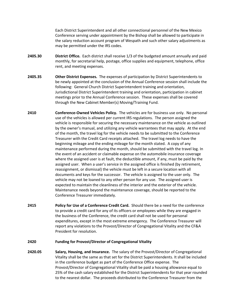Each District Superintendent and all other connectional personnel of the New Mexico Conference serving under appointment by the Bishop shall be allowed to participate in the salary reduction account program of Wespath and such other salary adjustments as may be permitted under the IRS codes.

- **2405.30 District Office.** Each district shall receive 1/3 of the budgeted amount annually and paid monthly, for secretarial help, postage, office supplies and equipment, telephone, office rent, and meeting expenses.
- **2405.35 Other District Expenses.** The expenses of participation by District Superintendents to be newly appointed at the conclusion of the Annual Conference session shall include the following: General Church District Superintendent training and orientation, Jurisdictional District Superintendent training and orientation, participation in cabinet meetings prior to the Annual Conference session. These expenses shall be covered through the New Cabinet Member(s) Moving/Training Fund.
- **2410 Conference-Owned Vehicles Policy.** The vehicles are for business use only. No personal use of the vehicles is allowed per current IRS regulations. The person assigned the vehicle is responsible for securing the necessary maintenance on the vehicle as outlined by the owner's manual, and utilizing any vehicle warrantees that may apply. At the end of the month, the travel log for the vehicle needs to be submitted to the Conference Treasurer with the Credit Card receipts attached. The travel log needs to have the beginning mileage and the ending mileage for the month stated. A copy of any maintenance performed during the month, should be submitted with the travel log. In the event of an accident or claimable expense on the automobile insurance coverage where the assigned user is at fault, the deductible amount, if any, must be paid by the assigned user. When a user's service in the assigned office is finished (by retirement, reassignment, or dismissal) the vehicle must be left in a secure location with all documents and keys for the successor.The vehicle is assigned to the user only. The vehicle may not be loaned to any other person for any use.The assigned user is expected to maintain the cleanliness of the interior and the exterior of the vehicle. Maintenance needs beyond the maintenance coverage, should be reported to the Conference Treasurer immediately.
- **2415 Policy for Use of a Conference Credit Card.** Should there be a need for the conference to provide a credit card for any of its officers or employees while they are engaged in the business of the Conference, the credit card shall not be used for personal expenditures, except in the most extreme emergency. The Conference Treasurer will report any violations to the Provost/Director of Congregational Vitality and the CF&A President for resolution.

#### **2420 Funding for Provost/Director of Congregational Vitality**

**2420.05 Salary, Housing, and Insurance.** The salary of the Provost/Director of Congregational Vitality shall be the same as that set for the District Superintendents. It shall be included in the conference budget as part of the Conference Office expense. The Provost/Director of Congregational Vitality shall be paid a housing allowance equal to 25% of the cash salary established for the District Superintendents for that year rounded to the nearest dollar. The proceeds distributed to the Conference Treasurer from the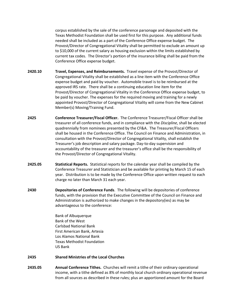corpus established by the sale of the conference parsonage and deposited with the Texas Methodist Foundation shall be used first for this purpose. Any additional funds needed shall be included as a part of the Conference Office expense budget. The Provost/Director of Congregational Vitality shall be permitted to exclude an amount up to \$10,000 of the current salary as housing exclusion within the limits established by current tax codes. The Director's portion of the insurance billing shall be paid from the Conference Office expense budget.

- **2420.10 Travel, Expenses, and Reimbursements.** Travel expense of the Provost/Director of Congregational Vitality shall be established as a line item with the Conference Office expense budget and paid by voucher. Automobile travel is to be reimbursed at the approved IRS rate. There shall be a continuing education line item for the Provost/Director of Congregational Vitality in the Conference Office expense budget, to be paid by voucher. The expenses for the required moving and training for a newly appointed Provost/Director of Congregational Vitality will come from the New Cabinet Member(s) Moving/Training Fund.
- **2425 Conference Treasurer/Fiscal Officer.** The Conference Treasurer/Fiscal Officer shall be treasurer of all conference funds, and in compliance with the *Discipline*, shall be elected quadrennially from nominees presented by the CF&A. The Treasurer/Fiscal Officers shall be housed in the Conference Office. The Council on Finance and Administration, in consultation with the Provost/Director of Congregational Vitality, shall establish the Treasurer's job description and salary package. Day-to-day supervision and accountability of the treasurer and the treasurer's office shall be the responsibility of the Provost/Director of Congregational Vitality.
- **2425.05 Statistical Reports.** Statistical reports for the calendar year shall be compiled by the Conference Treasurer and Statistician and be available for printing by March 15 of each year. Distribution is to be made by the Conference Office upon written request to each charge no later than March 31 each year.
- **2430 Depositories of Conference Funds**. The following will be depositories of conference funds, with the provision that the Executive Committee of the Council on Finance and Administration is authorized to make changes in the depository(ies) as may be advantageous to the conference:

Bank of Albuquerque Bank of the West Carlsbad National Bank First American Bank, Artesia Los Alamos National Bank Texas Methodist Foundation US Bank

# **2435 Shared Ministries of the Local Churches**

**2435.05 Annual Conference Tithes.** Churches will remit a tithe of their ordinary operational income, with a tithe defined as 8% of monthly local church ordinary operational revenue from all sources as described in these rules; plus an apportioned amount for the Board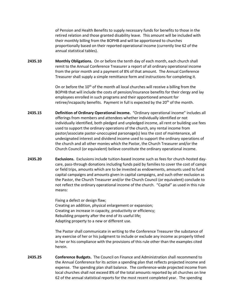of Pension and Health Benefits to supply necessary funds for benefits to those in the retired relation and those granted disability leave. This amount will be included with their monthly billing from the BOPHB and will be apportioned to churches proportionally based on their reported operational income (currently line 62 of the annual statistical tables).

**2435.10 Monthly Obligations.** On or before the tenth day of each month, each church shall remit to the Annual Conference Treasurer a report of all ordinary operational income from the prior month and a payment of 8% of that amount. The Annual Conference Treasurer shall supply a simple remittance form and instructions for completing it.

> On or before the  $10<sup>th</sup>$  of the month all local churches will receive a billing from the BOPHB that will include the costs of pension/insurance benefits for their clergy and lay employees enrolled in such programs and their apportioned amount for retiree/incapacity benefits. Payment in full is expected by the 20<sup>th</sup> of the month.

- **2435.15 Definition of Ordinary Operational Income.** "Ordinary operational income" includes all offerings from members and attendees whether individually identified or not individually identified, both pledged and unpledged income, all rent or building use fees used to support the ordinary operations of the church, any rental income from pastor/associate pastor-unoccupied parsonage(s) less the cost of maintenance, all undesignated interest and dividend income used to support the ordinary operations of the church and all other monies which the Pastor, the Church Treasurer and/or the Church Council (or equivalent) believe constitute the ordinary operational income.
- **2435.20 Exclusions.** Exclusions include tuition-based income such as fees for church-hosted daycare, pass-through donations including funds paid by families to cover the cost of camps or field trips, amounts which are to be invested as endowments, amounts used to fund capital campaigns and amounts given in capital campaigns, and such other exclusion as the Pastor, the Church Treasurer and/or the Church Council (or equivalent) conclude to not reflect the ordinary operational income of the church. "Capital" as used in this rule means:

Fixing a defect or design flaw; Creating an addition, physical enlargement or expansion; Creating an increase in capacity, productivity or efficiency; Rebuilding property after the end of its useful life; Adapting property to a new or different use.

The Pastor shall communicate in writing to the Conference Treasurer the substance of any exercise of her or his judgment to include or exclude any income as properly tithed in her or his compliance with the provisions of this rule other than the examples cited herein.

**2435.25 Conference Budgets.** The Council on Finance and Administration shall recommend to the Annual Conference for its action a spending plan that reflects projected income and expense. The spending plan shall balance. The conference-wide projected income from local churches shall not exceed 8% of the total amounts reported by all churches on line 62 of the annual statistical reports for the most recent completed year. The spending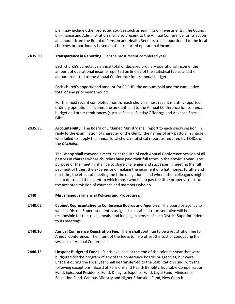plan may include other projected sources such as earnings on investments.The Council on Finance and Administration shall also present to the Annual Conference for its action an amount from the Board of Pension and Health Benefits to be apportioned to the local churches proportionally based on their reported operational income.

**2435.30 Transparency in Reporting.** For the most recent completed year:

Each church's cumulative annual total of declared ordinary operational income, the amount of operational income reported on line 62 of the statistical tables and the amount remitted to the Annual Conference for its annual budget.

Each church's apportioned amount for BOPHB, the amount paid and the cumulative total of any prior year amounts.

For the most recent completed month: each church's most recent monthly reported ordinary operational income, the amount paid to the Annual Conference for its annual budget and other remittances (such as Special Sunday Offerings and Advance Special Gifts).

**2435.35 Accountability.** The Board of Ordained Ministry shall report to each clergy session, in reply to the examination of character of the clergy, the names of any pastors in charge who failed to supply the annual local church statistical report as required by ¶340.c of the *Discipline*.

> The Bishop shall convene a meeting at the site of each Annual Conference Session of all pastors in charges whose churches have paid their full tithes in the previous year. The purpose of the meeting shall be to share challenges and successes in meeting the full payment of tithes, the experience of making the judgment of what monies to tithe and not tithe, the effect of meeting the tithe obligation if and when other colleagues might fail to do so and the extent to which those who fail to pay the tithe properly constitute the accepted mission of churches and members who do.

- **2440 Miscellaneous Financial Policies and Procedures.**
- **2440.05 Cabinet Representative to Conference Boards and Agencies**. The board or agency to which a District Superintendent is assigned as a cabinet representative will be responsible for the travel, meals, and lodging expenses of such District Superintendent to its meetings.
- **2440.10 Annual Conference Registration Fee.** There shall continue to be a registration fee for Annual Conference. The intent of the fee is to help offset the cost of conducting the sessions of Annual Conference.
- **2440.15 Unspent Budgeted Funds.** Funds available at the end of the calendar year that were budgeted for the program of any of the conference boards or agencies, but were unspent during the fiscal year shall be transferred to the Stabilization Fund, with the following exceptions: Board of Pensions and Health Benefits, Equitable Compensation Fund, Episcopal Residence Fund, Delegate Expense Fund, Legal Fund, Ministerial Education Fund, Campus Ministry and Higher Education Fund, New Church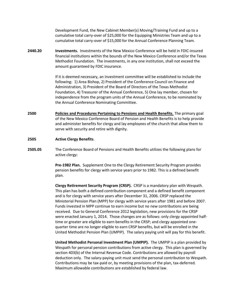Development Fund, the New Cabinet Member(s) Moving/Training Fund and up to a cumulative total carry-over of \$25,000 for the Equipping Ministries Team and up to a cumulative total carry-over of \$15,000 for the Annual Conference Planning Team.

**2440.20 Investments.** Investments of the New Mexico Conference will be held in FDIC-insured financial institutions within the bounds of the New Mexico Conference and/or the Texas Methodist Foundation. The investments, in any one institution, shall not exceed the amount guaranteed by FDIC insurance.

> If it is deemed necessary, an investment committee will be established to include the following: 1) Area Bishop, 2) President of the Conference Council on Finance and Administration, 3) President of the Board of Directors of the Texas Methodist Foundation, 4) Treasurer of the Annual Conference, 5) One lay member, chosen for independence from the program units of the Annual Conference, to be nominated by the Annual Conference Nominating Committee.

<span id="page-24-0"></span>**2500 Policies and Procedures Pertaining to Pensions and Health Benefits.** The primary goal of the New Mexico Conference Board of Pension and Health Benefits is to help provide and administer benefits for clergy and lay employees of the church that allow them to serve with security and retire with dignity.

## **2505 Active Clergy Benefits**.

**2505.05** The Conference Board of Pensions and Health Benefits utilizes the following plans for active clergy:

> **Pre-1982 Plan.** Supplement One to the Clergy Retirement Security Program provides pension benefits for clergy with service years prior to 1982. This is a defined benefit plan.

**Clergy Retirement Security Program (CRSP).** CRSP is a mandatory plan with Wespath. This plan has both a defined contribution component and a defined benefit component and is for clergy with service years after December 31, 2006. CRSP replaced the Ministerial Pension Plan (MPP) for clergy with service years after 1981 and before 2007. Funds invested in MPP continue to earn income but no new contributions are being received. Due to General Conference 2012 legislation, new provisions for the CRSP were enacted January 1, 2014. Those changes are as follows: only clergy appointed halftime or greater are eligible to earn benefits in the CRSP; and clergy appointed onequarter time are no longer eligible to earn CRSP benefits, but will be enrolled in the United Methodist Pension Plan (UMPIP). The salary paying unit will pay for this benefit.

**United Methodist Personal Investment Plan (UMPIP).** The UMPIP is a plan provided by Wespath for personal pension contributions from active clergy. This plan is governed by section 403(b) of the Internal Revenue Code. Contributions are allowed by payroll deduction only. The salary-paying unit must send the personal contribution to Wespath. Contributions may be tax-paid or, by meeting provisions of the plan, tax-deferred. Maximum allowable contributions are established by federal law.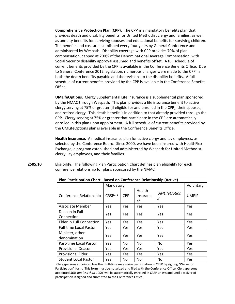**Comprehensive Protection Plan (CPP).** The CPP is a mandatory benefits plan that provides death and disability benefits for United Methodist clergy and families, as well as annuity benefits for surviving spouses and educational benefits for surviving children. The benefits and cost are established every four years by General Conference and administered by Wespath. Disability coverage with CPP provides 70% of plan compensation, capped at 200% of the Denominational Average Compensation, with Social Security disability approval assumed and benefits offset. A full schedule of current benefits provided by the CPP is available in the Conference Benefits Office. Due to General Conference 2012 legislation, numerous changes were made to the CPP in both the death benefits payable and the revisions to the disability benefits. A full schedule of current benefits provided by the CPP is available in the Conference Benefits Office.

**UMLifeOptions.** Clergy Supplemental Life Insurance is a supplemental plan sponsored by the NMAC through Wespath. This plan provides a life insurance benefit to active clergy serving at 75% or greater (if eligible for and enrolled in the CPP), their spouses, and retired clergy. This death benefit is in addition to that already provided through the CPP. Clergy serving at 75% or greater that participate in the CPP are automatically enrolled in this plan upon appointment. A full schedule of current benefits provided by the UMLifeOptions plan is available in the Conference Benefits Office.

**Health Insurance.** A medical insurance plan for active clergy and lay employees, as selected by the Conference Board. Since 2000, we have been insured with HealthFlex Exchange, a program established and administered by Wespath for United Methodist clergy, lay employees, and their families.

| Plan Participation Chart - Based on Conference Relationship (Active) |                      |            |                                    |                              |              |  |  |  |  |  |  |
|----------------------------------------------------------------------|----------------------|------------|------------------------------------|------------------------------|--------------|--|--|--|--|--|--|
|                                                                      | Mandatory            | Voluntary  |                                    |                              |              |  |  |  |  |  |  |
| Conference Relationship                                              | CRSP <sup>1, 2</sup> | <b>CPP</b> | <b>Health</b><br>Insuranc<br>$e^3$ | <b>UMLifeOption</b><br>$s^4$ | <b>UMPIP</b> |  |  |  |  |  |  |
| Associate Member                                                     | <b>Yes</b>           | <b>Yes</b> | Yes                                | Yes                          | <b>Yes</b>   |  |  |  |  |  |  |
| Deacon in Full<br>Connection                                         | Yes                  | <b>Yes</b> | Yes                                | Yes                          | Yes          |  |  |  |  |  |  |
| <b>Elder in Full Connection</b>                                      | <b>Yes</b>           | <b>Yes</b> | Yes                                | Yes                          | <b>Yes</b>   |  |  |  |  |  |  |
| <b>Full-time Local Pastor</b>                                        | Yes                  | Yes        | Yes                                | Yes                          | Yes          |  |  |  |  |  |  |
| Minister, other<br>denomination                                      | Yes                  | <b>Yes</b> | Yes                                | Yes                          | Yes          |  |  |  |  |  |  |
| Part-time Local Pastor                                               | Yes                  | No.        | No.                                | No.                          | Yes          |  |  |  |  |  |  |
| <b>Provisional Deacon</b>                                            | Yes                  | Yes        | Yes                                | Yes                          | <b>Yes</b>   |  |  |  |  |  |  |
| <b>Provisional Elder</b>                                             | Yes.                 | <b>Yes</b> | Yes                                | Yes                          | <b>Yes</b>   |  |  |  |  |  |  |
| <b>Student Local Pastor</b>                                          | Yes                  | No.        | No.                                | No                           | Yes          |  |  |  |  |  |  |

**2505.10 Eligibility**. The following Plan Participation Chart defines plan eligibility for each conference relationship for plans sponsored by the NMAC.

> <sup>1</sup>Clergypersons appointed less than full-time may waive participation in CRSP by signing "Waiver of Participation" form. This form must be notarized and filed with the Conference Office. Clergypersons appointed *50% but less than 100%* will be automatically enrolled in CRSP unless and until a waiver of participation is signed and submitted to the Conference Office.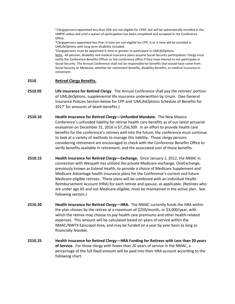<sup>2</sup> Clergypersons appointed less than 50% are not eligible for CRSP, but will be automatically enrolled in the UMPIP unless and until a waiver of participation has been completed and accepted in the Conference Office.

<sup>3</sup>Clergypersons appointed less than  $\frac{3}{4}$  time are not eligible for CPP,  $\frac{1}{4}$  or  $\frac{1}{2}$  time will be enrolled in UMLifeOptions with long term disability included.

<sup>4</sup>Clergypersons must be appointed ¾ time or greater to participate in *UMLifeOptions.*  Note: All pension, disability and medical insurance plans assume Social Security participation. Clergy must notify the Conference Benefits Officer or the conference office if they have elected to not participate in Social Security. The Annual Conference shall not be responsible for benefits that would have come from Social Security or Medicare, whether for retirement benefits, disability benefits, or medical insurance in retirement.

# **2510 Retired Clergy Benefits.**

- **2510.05 Life Insurance for Retired Clergy.** The Annual Conference shall pay the retirees' portion of *UMLifeOptions*, supplemental life insurance underwritten by Unum. (See General Insurance Policies Section below for CPP and 'UMLifeOptions Schedule of Benefits for 2017' for amounts of death benefits.)
- **2510.10 Health Insurance for Retired Clergy—Unfunded Mandate.** The New Mexico Conference's unfunded liability for retiree health care benefits as of our latest actuarial evaluation on December 31, 2016 is \$7,256,509. In an effort to provide health care benefits for the conference's retirees well into the future, the conference must continue to look at a variety of methods to manage this liability. Those clergy persons considering retirement are encouraged to check with the Conference Benefits Office to verify benefits available in retirement, and the associated cost of those benefits.
- **2510.15 Health Insurance for Retired Clergy—Exchange.** Since January 1, 2012, the NMAC in connection with Wespath has utilized the private Medicare-exchange, OneExchange, previously known as Extend Health, to provide a choice of Medicare Supplement and Medicare Advantage health insurance plans for the Conference's current and future Medicare-eligible retirees. These plans will be combined with an individual Health Reimbursement Account (HRA) for each retiree and spouse, as applicable. (Retirees who are under age 65 and not Medicare-eligible, must be maintained in the active plan. See following section.)
- **2510.20 Health Insurance for Retired Clergy—HRA.** The NMAC currently funds the HRA within the plan chosen by the retiree at a maximum of \$250/month, or \$3,000/year, with which the retiree may choose to pay health care premiums and other health-related expenses. This amount will be calculated based on years of service within the NMAC/NWTX Episcopal Area, and may be funded on a year by year basis as long as financially feasible.
- **2510.25 Health Insurance for Retired Clergy—HRA Funding for Retirees with Less than 20 years of Service.** For those clergy with fewer than 20 years of service in the NMAC, a percentage of the full fixed amount will be paid into their HRA account according to the following chart: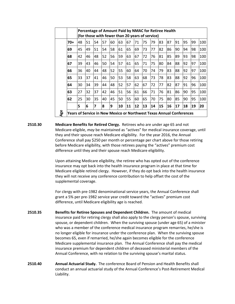| (for those with fewer than 20 years of service)<br>48<br>51<br>45<br>49<br>42<br>46<br>43<br>39 | 54<br>51<br>48<br>46 | 57<br>54<br>52<br>50 | 60<br>58<br>56 | 63<br>61<br>59 | 67<br>65 | 71<br>69 | 75<br>73 | 79<br>77 | 83<br>82 | 87<br>86 | 91<br>90  | 95<br>94 | 99 |                                                                      |
|-------------------------------------------------------------------------------------------------|----------------------|----------------------|----------------|----------------|----------|----------|----------|----------|----------|----------|-----------|----------|----|----------------------------------------------------------------------|
|                                                                                                 |                      |                      |                |                |          |          |          |          |          |          |           |          |    | 100                                                                  |
|                                                                                                 |                      |                      |                |                |          |          |          |          |          |          |           |          |    |                                                                      |
|                                                                                                 |                      |                      |                |                |          |          |          |          |          |          |           |          | 98 | 100                                                                  |
|                                                                                                 |                      |                      |                |                | 63       | 67       | 72       | 76       | 81       | 85       | 89        | 93       | 98 | 100                                                                  |
|                                                                                                 |                      |                      | 54             | 57             | 61       | 65       | 71       | 75       | 80       | 84       | 88        | 92       | 97 | 100                                                                  |
| 40<br>36                                                                                        | 44                   | 48                   | 52             | 55             | 60       | 64       | 70       | 74       | 79       | 83       | 88        | 92       | 97 | 100                                                                  |
| 33<br>37                                                                                        | 41                   | 46                   | 50             | 53             | 58       | 63       | 68       | 73       | 78       | 83       | 88        | 92       | 96 | 100                                                                  |
| 30<br>34                                                                                        | 39                   | 44                   | 48             | 52             | 57       | 62       | 67       | 72       | 77       | 82       | 87        | 91       | 96 | 100                                                                  |
| 27<br>32                                                                                        | 37                   | 42                   | 46             | 51             | 56       | 61       | 66       | 71       | 76       | 81       | 86        | 90       | 95 | 100                                                                  |
| 25<br>30                                                                                        | 35                   | 40                   | 45             | 50             | 55       | 60       | 65       | 70       | 75       | 80       | 85        | 90       | 95 | 100                                                                  |
| 6                                                                                               | 7                    | 8                    | 9              | 10             | 11       | 12       | 13       | 14       | 15       | 16       | <b>17</b> | 18       | 19 | 20                                                                   |
|                                                                                                 |                      |                      |                |                |          |          |          |          |          |          |           |          |    | Years of Service in New Mexico or Northwest Texas Annual Conferences |

**2510.30 Medicare Benefits for Retired Clergy.** Retirees who are under age 65 and not Medicare-eligible, *may* be maintained as "actives" for medical insurance coverage, until they and their spouse reach Medicare eligibility. For the year 2016, the Annual Conference shall pay \$250 per month or percentage per chart above for those retiring before Medicare eligibility, with those retirees paying the "actives" premium cost difference until they and their spouse reach Medicare eligibility.

> Upon attaining Medicare eligibility, the retiree who has opted out of the conference insurance may opt back into the health insurance program in place at that time for Medicare eligible retired clergy. However, if they do opt back into the health insurance they will not receive any conference contribution to help offset the cost of the supplemental coverage.

For clergy with pre-1982 denominational service years, the Annual Conference shall grant a 5% per pre-1982 service year credit toward the "actives" premium cost difference, until Medicare eligibility age is reached.

- **2510.35 Benefits for Retiree Spouses and Dependent Children.** The amount of medical insurance paid for retiring clergy shall also apply to the clergy person's spouse, surviving spouse, or dependent children. When the surviving spouse (under age 65) of a minister who was a member of the conference medical insurance program remarries, he/she is no longer eligible for insurance under the conference plan. When the surviving spouse becomes 65, even if remarried, he/she again becomes eligible for the conference Medicare supplemental insurance plan. The Annual Conference shall pay the medical insurance premium for dependent children of deceased ministerial members of the Annual Conference, with no relation to the surviving spouse's marital status.
- **2510.40 Annual Actuarial Study.** The conference Board of Pension and Health Benefits shall conduct an annual actuarial study of the Annual Conference's Post-Retirement Medical Liability.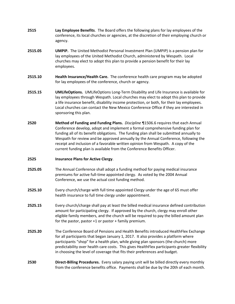- **2515 Lay Employee Benefits**. The Board offers the following plans for lay employees of the conference, its local churches or agencies, at the discretion of their employing church or agency.
- **2515.05 UMPIP.** The United Methodist Personal Investment Plan (UMPIP) is a pension plan for lay employees of the United Methodist Church, administered by Wespath. Local churches may elect to adopt this plan to provide a pension benefit for their lay employees.
- **2515.10 Health Insurance/Health Care.** The conference health care program may be adopted for lay employees of the conference, church or agency.
- **2515.15 UMLifeOptions.** UMLifeOptions Long-Term Disability and Life Insurance is available for lay employees through Wespath. Local churches may elect to adopt this plan to provide a life insurance benefit, disability income protection, or both, for their lay employees. Local churches can contact the New Mexico Conference Office if they are interested in sponsoring this plan.
- **2520 Method of Funding and Funding Plans.** *Discipline* ¶1506.6 requires that each Annual Conference develop, adopt and implement a formal comprehensive funding plan for funding all of its benefit obligations. The funding plan shall be submitted annually to Wespath for review and be approved annually by the Annual Conference, following the receipt and inclusion of a favorable written opinion from Wespath. A copy of the current funding plan is available from the Conference Benefits Officer.

#### **2525 Insurance Plans for Active Clergy**.

- **2525.05** The Annual Conference shall adopt a funding method for paying medical insurance premiums for active full-time appointed clergy. As voted by the 2004 Annual Conference, we use the actual cost funding method.
- **2525.10** Every church/charge with full time appointed Clergy under the age of 65 must offer health insurance to full time clergy under appointment.
- **2525.15** Every church/charge shall pay at least the billed medical insurance defined contribution amount for participating clergy. If approved by the church, clergy may enroll other eligible family members, and the church will be required to pay the billed amount plan for the pastor, pastor +1 or pastor + family premium.
- **2525.20** The Conference Board of Pensions and Health Benefits introduced HealthFlex Exchange for all participants that began January 1, 2017. It also provides a platform where participants "shop" for a health plan, while giving plan sponsors (the church) more predictability over health care costs. This gives HealthFlex participants greater flexibility in choosing the level of coverage that fits their preferences and budget.
- **2530 Direct-Billing Procedures.** Every salary paying unit will be billed directly every monthly from the conference benefits office. Payments shall be due by the 20th of each month.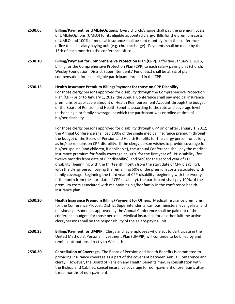- **2530.05 Billing/Payment for UMLifeOptions.** Every church/charge shall pay the premium costs of UMLifeOptions (UMLO) for its eligible appointed clergy. Bills for the premium costs of UMLO and 100% of medical insurance shall be sent monthly from the conference office to each salary paying unit (e.g. church/charge). Payments shall be made by the 15th of each month to the conference office.
- **2530.10 Billing/Payment for Comprehensive Protection Plan (CPP).** Effective January 1, 2016, billing for the Comprehensive Protection Plan (CPP) to each salary paying unit (church, Wesley Foundation, District Superintendents' Fund, etc.) shall be at 3% of plan compensation for each eligible participant enrolled in the CPP.
- **2530.15 Health Insurance Premium Billing/Payment for those on CPP Disability** For those clergy persons approved for disability through the Comprehensive Protection Plan (CPP) prior to January 1, 2012, the Annual Conference shall pay medical insurance premiums or applicable amount of Health Reimbursement Account through the budget of the Board of Pension and Health Benefits according to the rate and coverage level (either single or family coverage) at which the participant was enrolled at time of his/her disability.

For those clergy persons approved for disability through CPP on or after January 1, 2012, the Annual Conference shall pay 100% of the single medical insurance premium through the budget of the Board of Pension and Health Benefits for the clergy person for as long as he/she remains on CPP-disability. If the clergy person wishes to provide coverage for his/her spouse (and children, if applicable), the Annual Conference shall pay the medical insurance premium for family coverage at 100% for the first year of CPP disability (for twelve months from date of CPP disability), and 50% for the second year of CPP disability (beginning with the thirteenth month from the start date of CPP disability), with the clergy person paying the remaining 50% of the premium costs associated with family coverage. Beginning the third year of CPP-disability (beginning with the twentyfifth month from the start date of CPP disability), the participant shall pay 100% of the premium costs associated with maintaining his/her family in the conference health insurance plan.

- **2530.20 Health Insurance Premium Billing/Payment for Others.** Medical insurance premiums for the Conference Provost, District Superintendents, campus ministers, evangelists, and missional personnel as approved by the Annual Conference shall be paid out of the conference budgets for those persons. Medical insurance for all other fulltime active clergypersons shall be the responsibility of the salary-paying unit.
- **2530.25 Billing/Payment for UMPIP.** Clergy and lay employees who elect to participate in the United Methodist Personal Investment Plan (UMPIP) will continue to be billed by and remit contributions directly to Wespath.
- **2530.30 Cancellation of Coverage.** The Board of Pension and Health Benefits is committed to providing insurance coverage as a part of the covenant between Annual Conference and clergy. However, the Board of Pension and Health Benefits may, in consultation with the Bishop and Cabinet, cancel insurance coverage for non-payment of premiums after three months of non-payment.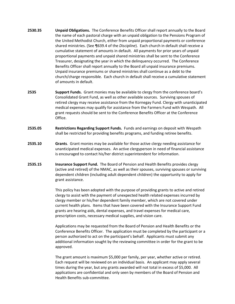- **2530.35 Unpaid Obligations.** The Conference Benefits Officer shall report annually to the Board the name of each pastoral charge with an unpaid obligation to the Pensions Program of the United Methodist Church, either from unpaid proportional payments or conference shared ministries. (See ¶639.4 of the *Discipline*). Each church in default shall receive a cumulative statement of amounts in default. All payments for prior years of unpaid proportional payments and unpaid shared ministries shall be sent to the Conference Treasurer, designating the year in which the delinquency occurred. The Conference Benefits Officer shall report annually to the Board all unpaid insurance premiums. Unpaid insurance premiums or shared ministries shall continue as a debt to the church/charge responsible. Each church in default shall receive a cumulative statement of amounts in default.
- **2535 Support Funds.** Grant monies may be available to clergy from the conference board's Consolidated Grant Fund, as well as other available sources. Surviving spouses of retired clergy may receive assistance from the Kornegay Fund. Clergy with unanticipated medical expenses may qualify for assistance from the Farmers Fund with Wespath. All grant requests should be sent to the Conference Benefits Officer at the Conference Office.
- **2535.05 Restrictions Regarding Support Funds.** Funds and earnings on deposit with Wespath shall be restricted for providing benefits programs, and funding retiree benefits.
- **2535.10 Grants**. Grant monies may be available for those active clergy needing assistance for unanticipated medical expenses. An active clergyperson in need of financial assistance is encouraged to contact his/her district superintendent for information.
- **2535.15 Insurance Support Fund.** The Board of Pension and Health Benefits provides clergy (active and retired) of the NMAC, as well as their spouses, surviving spouses or surviving dependent children (including adult dependent children) the opportunity to apply for grant assistance.

This policy has been adopted with the purpose of providing grants to active and retired clergy to assist with the payment of unexpected health related expenses incurred by clergy member or his/her dependent family member, which are not covered under current health plans. Items that have been covered with the Insurance Support Fund grants are hearing aids, dental expenses, and travel expenses for medical care, prescription costs, necessary medical supplies, and vision care.

Applications may be requested from the Board of Pension and Health Benefits or the Conference Benefits Officer. The application must be completed by the participant or a person authorized to act on the participant's behalf. Applicants must submit any additional information sought by the reviewing committee in order for the grant to be approved.

The grant amount is maximum \$5,000 per family, per year, whether active or retired. Each request will be reviewed on an individual basis. An applicant may apply several times during the year, but any grants awarded will not total in excess of \$5,000. All applications are confidential and only seen by members of the Board of Pension and Health Benefits sub-committee.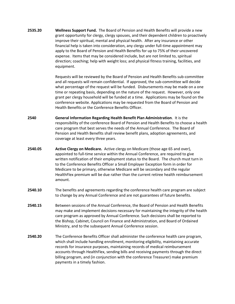**2535.20 Wellness Support Fund.** The Board of Pension and Health Benefits will provide a new grant opportunity for clergy, clergy spouses, and their dependent children to proactively improve their spiritual, mental and physical health. After any insurance or other financial help is taken into consideration, any clergy under full-time appointment may apply to the Board of Pension and Health Benefits for up to 75% of their uncovered expense. Items that may be considered include, but are not limited to, spiritual direction; coaching; help with weight loss; and physical fitness training, facilities, and equipment.

> Requests will be reviewed by the Board of Pension and Health Benefits sub-committee and all requests will remain confidential. If approved, the sub-committee will decide what percentage of the request will be funded. Disbursements may be made on a one time or repeating basis, depending on the nature of the request. However, only one grant per clergy household will be funded at a time. Applications may be found on the conference website. Applications may be requested from the Board of Pension and Health Benefits or the Conference Benefits Officer.

- **2540 General Information Regarding Health Benefit Plan Administration**. It is the responsibility of the conference Board of Pension and Health Benefits to choose a health care program that best serves the needs of the Annual Conference. The Board of Pension and Health Benefits shall review benefit plans, adoption agreements, and coverage at least every three years.
- **2540.05 Active Clergy on Medicare.** Active clergy on Medicare (those age 65 and over), appointed to full-time service within the Annual Conference, are required to give written notification of their employment status to the Board. The church must turn in to the Conference Benefits Officer a Small Employer Exception form in order for Medicare to be primary, otherwise Medicare will be secondary and the regular HealthFlex premium will be due rather than the current retiree health reimbursement amount.
- **2540.10** The benefits and agreements regarding the conference health care program are subject to change by any Annual Conference and are not guarantees of future benefits.
- **2540.15** Between sessions of the Annual Conference, the Board of Pension and Health Benefits may make and implement decisions necessary for maintaining the integrity of the health care program as approved by Annual Conference. Such decisions shall be reported to the Bishop, Cabinet, Council on Finance and Administration, and Board of Ordained Ministry, and to the subsequent Annual Conference session.
- **2540.20** The Conference Benefits Officer shall administer the conference health care program, which shall include handling enrollment, monitoring eligibility, maintaining accurate records for insurance purposes, maintaining records of medical reimbursement accounts through HealthFlex, sending bills and receiving payments through the direct billing program, and (in conjunction with the conference Treasurer) make premium payments in a timely fashion.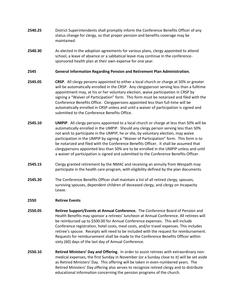- **2540.25** District Superintendents shall promptly inform the Conference Benefits Officer of any status change for clergy, so that proper pension and benefits coverage may be maintained.
- **2540.30** As elected in the adoption agreements for various plans, clergy appointed to attend school, a leave of absence or a sabbatical leave may continue in the conferencesponsored health plan at their own expense for one year.

## **2545 General Information Regarding Pension and Retirement Plan Administration.**

- **2545.05 CRSP**. All clergy persons appointed to either a local church or charge at 50% or greater will be automatically enrolled in the CRSP. Any clergyperson serving less than a fulltime appointment may, at his or her voluntary election, waive participation in CRSP by signing a "Waiver of Participation" form. This form must be notarized and filed with the Conference Benefits Office. Clergypersons appointed less than full-time will be automatically enrolled in CRSP unless and until a waiver of participation is signed and submitted to the Conference Benefits Office.
- **2545.10 UMPIP**. All clergy persons appointed to a local church or charge at less than 50% will be automatically enrolled in the UMPIP. Should any clergy person serving less than 50% not wish to participate in the UMPIP, he or she, by voluntary election, may waive participation in the UMPIP by signing a "Waiver of Participation" form. This form is to be notarized and filed with the Conference Benefits Officer. It shall be assumed that clergypersons appointed less than 50% are to be enrolled in the UMPIP unless and until a waiver of participation is signed and submitted to the Conference Benefits Officer.
- **2545.15** Clergy granted retirement by the NMAC and receiving an annuity from Wespath may participate in the health care program, with eligibility defined by the plan documents.
- **2545.20** The Conference Benefits Officer shall maintain a list of all retired clergy, spouses, surviving spouses, dependent children of deceased clergy, and clergy on Incapacity Leave.

#### **2550 Retiree Events**

- **2550.05 Retiree Support/Events at Annual Conference.** The Conference Board of Pension and Health Benefits may sponsor a retirees' luncheon at Annual Conference. All retirees will be reimbursed up to \$500.00 for Annual Conference expenses. This will include Conference registration, hotel costs, meal costs, and/or travel expenses. This includes retiree's spouse. Receipts will need to be included with the request for reimbursement. Requests for reimbursement shall be made to the Conference Benefits Officer within sixty (60) days of the last day of Annual Conference.
- **2550.10 Retired Ministers' Day and Offering**. In order to assist retirees with extraordinary nonmedical expenses, the first Sunday in November (or a Sunday close to it) will be set aside as Retired Ministers' Day. This offering will be taken in even-numbered years. The Retired Ministers' Day offering also serves to recognize retired clergy and to distribute educational information concerning the pension programs of the church.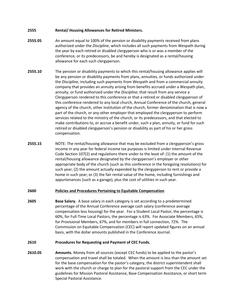# **2555 Rental/ Housing Allowances for Retired Ministers.**

- **2555.05** An amount equal to 100% of the pension or disability payments received from plans authorized under the *Discipline*, which includes all such payments from Wespath during the year by each retired or disabled clergyperson who is or was a member of the conference, or its predecessors, be and hereby is designated as a rental/housing allowance for each such clergyperson.
- **2555.10** The pension or disability payments to which this rental/housing allowance applies will be any pension or disability payments from plans, annuities, or funds authorized under the *Discipline*, including such payments from Wespath and from a commercial annuity company that provides an annuity arising from benefits accrued under a Wespath plan, annuity, or fund authorized under the *Discipline*, that result from any service a Clergyperson rendered to this conference or that a retired or disabled clergyperson of this conference rendered to any local church, Annual Conference of the church, general agency of the church, other institution of the church, former denomination that is now a part of the church, or any other employer that employed the clergyperson to perform services related to the ministry of the church, or its predecessors, and that elected to make contributions to, or accrue a benefit under, such a plan, annuity, or fund for such retired or disabled clergyperson's pension or disability as part of his or her gross compensation.
- **2555.15** NOTE: The rental/housing allowance that may be excluded from a clergyperson's gross income in any year for federal income tax purposes is limited under Internal Revenue Code Section 107(2) and regulations there under to the least of: (1) the amount of the rental/housing allowance designated by the clergyperson's employer or other appropriate body of the church (such as this conference in the foregoing resolutions) for such year; (2) the amount actually expended by the clergyperson to rent or provide a home in such year; or (3) the fair rental value of the home, including furnishings and appurtenances (such as a garage), plus the cost of utilities in such year.

# <span id="page-33-0"></span>**2600 Policies and Procedures Pertaining to Equitable Compensation**

**2605 Base Salary.** A base salary in each category is set according to a predetermined percentage of the Annual Conference average cash salary (conference average compensation less housing) for the year. For a Student Local Pastor, the percentage is 60%, for Full-Time Local Pastors, the percentage is 63%. For Associate Members, 65%, for Provisional Members, 67%, and for members in full connection, 72%. The Commission on Equitable Compensation (CEC) will report updated figures on an annual basis, with the dollar amounts published in the Conference Journal.

#### **2610 Procedures for Requesting and Payment of CEC Funds.**

**2610.05 Amounts.** Money from all sources (except CEC funds) to be applied to the pastor's compensation and travel shall be totaled. When the amount is less than the amount set for the base compensation for the pastor's category, the district superintendent shall work with the church or charge to plan for the pastoral support from the CEC under the guidelines for Mission Pastoral Assistance, Base Compensation Assistance, or short term Special Pastoral Assistance.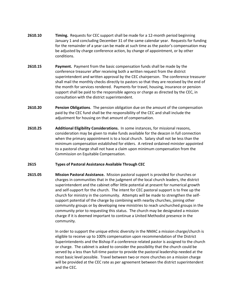- **2610.10 Timing.** Requests for CEC support shall be made for a 12-month period beginning January 1 and concluding December 31 of the same calendar year. Requests for funding for the remainder of a year can be made at such time as the pastor's compensation may be adjusted by charge conference action, by change of appointment, or by other conditions.
- **2610.15 Payment.** Payment from the basic compensation funds shall be made by the conference treasurer after receiving both a written request from the district superintendent and written approval by the CEC chairperson. The conference treasurer shall mail the monthly checks directly to pastors so that they are received by the end of the month for services rendered. Payments for travel, housing, insurance or pension support shall be paid to the responsible agency or charge as directed by the CEC, in consultation with the district superintendent.
- **2610.20 Pension Obligations**. The pension obligation due on the amount of the compensation paid by the CEC fund shall be the responsibility of the CEC and shall include the adjustment for housing on that amount of compensation.
- **2610.25 Additional Eligibility Considerations.** In some instances, for missional reasons, consideration may be given to make funds available for the deacon in full connection when the primary appointment is to a local church. Salary shall not be less than the minimum compensation established for elders. A retired ordained minister appointed to a pastoral charge shall not have a claim upon minimum compensation from the Commission on Equitable Compensation.

# **2615 Types of Pastoral Assistance Available Through CEC**

**2615.05 Mission Pastoral Assistance.** Mission pastoral support is provided for churches or charges in communities that in the judgment of the local church leaders, the district superintendent and the cabinet offer little potential at present for numerical growth and self-support for the church. The intent for CEC pastoral support is to free up the church for ministry in the community. Attempts will be made to strengthen the selfsupport potential of the charge by combining with nearby churches, joining other community groups or by developing new ministries to reach unchurched groups in the community prior to requesting this status. The church may be designated a mission charge if it is deemed important to continue a United Methodist presence in the community.

> In order to support the unique ethnic diversity in the NMAC a mission charge/church is eligible to receive up to 100% compensation upon recommendation of the District Superintendents and the Bishop if a conference related pastor is assigned to the church or charge. The cabinet is asked to consider the possibility that the church could be served by a less than full-time pastor to provide the pastoral leadership needed at the most basic level possible. Travel between two or more churches on a mission charge will be provided at the CEC rate as per agreement between the district superintendent and the CEC.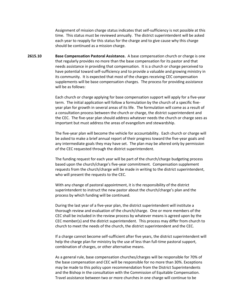Assignment of mission charge status indicates that self-sufficiency is not possible at this time. This status must be reviewed annually. The district superintendent will be asked each year to reapply for this status for the charge and to give cause why this charge should be continued as a mission charge.

**2615.10 Base Compensation Pastoral Assistance.** A base compensation church or charge is one that regularly provides no more than the base compensation for its pastor and that needs assistance in providing that compensation. It is a church or charge perceived to have potential toward self-sufficiency and to provide a valuable and growing ministry in its community. It is expected that most of the charges receiving CEC compensation supplements will be base compensation charges. The process for providing assistance will be as follows:

> Each church or charge applying for base compensation support will apply for a five-year term. The initial application will follow a formulation by the church of a specific fiveyear plan for growth in several areas of its life. The formulation will come as a result of a consultation process between the church or charge, the district superintendent and the CEC. The five-year plan should address whatever needs the church or charge sees as important but must address the areas of evangelism and stewardship.

> The five-year plan will become the vehicle for accountability. Each church or charge will be asked to make a brief annual report of their progress toward the five-year goals and any intermediate goals they may have set. The plan may be altered only by permission of the CEC requested through the district superintendent.

> The funding request for each year will be part of the church/charge budgeting process based upon the church/charge's five-year commitment. Compensation supplement requests from the church/charge will be made in writing to the district superintendent, who will present the requests to the CEC.

With any change of pastoral appointment, it is the responsibility of the district superintendent to instruct the new pastor about the church/charge's plan and the process by which funding will be continued.

During the last year of a five-year plan, the district superintendent will institute a thorough review and evaluation of the church/charge. One or more members of the CEC shall be included in the review process by whatever means is agreed upon by the CEC member(s) and the district superintendent. This process may differ from church to church to meet the needs of the church, the district superintendent and the CEC.

If a charge cannot become self-sufficient after five years, the district superintendent will help the charge plan for ministry by the use of less than full-time pastoral support, combination of charges, or other alternative means.

As a general rule, base compensation churches/charges will be responsible for 70% of the base compensation and CEC will be responsible for no more than 30%. Exceptions may be made to this policy upon recommendation from the District Superintendents and the Bishop in the consultation with the Commission of Equitable Compensation. Travel assistance between two or more churches in one charge will continue to be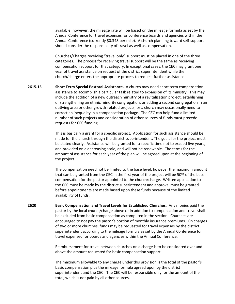available; however, the mileage rate will be based on the mileage formula as set by the Annual Conference for travel expenses for conference boards and agencies within the Annual Conference (currently \$0.348 per mile). A church planning toward self-support should consider the responsibility of travel as well as compensation.

Churches/Charges receiving "travel only" support must be placed in one of the three categories. The process for receiving travel support will be the same as receiving compensation support for that category. In exceptional cases, the CEC may grant one year of travel assistance on request of the district superintendent while the church/charge enters the appropriate process to request further assistance.

**2615.15 Short Term Special Pastoral Assistance.** A church may need short term compensation assistance to accomplish a particular task related to expansion of its ministry. This may include the addition of a new outreach ministry of a revitalization project, establishing or strengthening an ethnic minority congregation, or adding a second congregation in an outlying area or other growth-related projects; or a church may occasionally need to correct an inequality in a compensation package. The CEC can help fund a limited number of such projects and consideration of other sources of funds must precede requests for CEC funding.

> This is basically a grant for a specific project. Application for such assistance should be made for the church through the district superintendent. The goals for the project must be stated clearly. Assistance will be granted for a specific time not to exceed five years, and provided on a decreasing scale, and will not be renewable. The terms for the amount of assistance for each year of the plan will be agreed upon at the beginning of the project.

The compensation need not be limited to the base level; however the maximum amount that can be granted from the CEC in the first year of the project will be 50% of the base compensation for the pastor appointed to the church/charge. Written application to the CEC must be made by the district superintendent and approval must be granted before appointments are made based upon these funds because of the limited availability of funds.

**2620 Basic Compensation and Travel Levels for Established Churches.** Any monies paid the pastor by the local church/charge above or in addition to compensation and travel shall be excluded from basic compensation as computed in the section. Churches are encouraged to not pay the pastor's portion of monthly insurance premiums. On charges of two or more churches, funds may be requested for travel expenses by the district superintendent according to the mileage formula as set by the Annual Conference for travel expensed for boards and agencies within the Annual Conference.

> Reimbursement for travel between churches on a charge is to be considered over and above the amount requested for basic compensation support.

> The maximum allowable to any charge under this provision is the total of the pastor's basic compensation plus the mileage formula agreed upon by the district superintendent and the CEC. The CEC will be responsible only for the amount of the total, which is not paid by all other sources.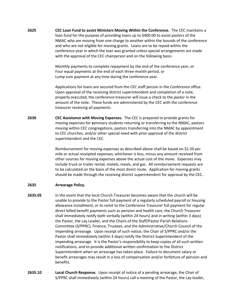**2625 CEC Loan Fund to assist Ministers Moving Within the Conference.** The CEC maintains a loan fund for the purpose of providing loans up to \$400.00 to assist pastors of the NMAC who are moving from one charge to another within the bounds of the conference and who are not eligible for moving grants.Loans are to be repaid within the conference year in which the loan was granted unless special arrangements are made with the approval of the CEC chairperson and on the following basis:

> Monthly payments to complete repayment by the end of the conference year, or Four equal payments at the end of each three-month period, or Lump sum payment at any time during the conference year.

Applications for loans are secured from the CEC staff person in the Conference office. Upon approval of the receiving district superintendent and completion of a note, properly executed, the conference treasurer will issue a check to the pastor in the amount of the note. These funds are administered by the CEC with the conference treasurer receiving all payments.

**2630 CEC Assistance with Moving Expenses.** The CEC is prepared to provide grants for moving expenses for **s**eminary students returning or transferring to the NMAC, pastors moving within CEC congregations, pastors transferring into the NMAC by appointment to CEC churches, and/or other special need with prior approval of the district superintendent and the CEC.

> Reimbursement for moving expenses as described above shall be based on \$1.50 per mile or actual receipted expenses, whichever is less, minus any amount received from other sources for moving expenses above the actual cost of the move. Expenses may include truck or trailer rental, motels, meals, and gas. All reimbursement requests are to be calculated on the basis of the most direct route. Application for moving grants should be made through the receiving district superintendent for approval by the CEC.

# **2635 Arrearage Policy.**

- **2635.05** In the event that the local Church Treasurer becomes aware that the church will be unable to provide to the Pastor full payment of a regularly scheduled payroll or housing allowance installment, or to remit to the Conference Treasurer full payment for regular direct billed benefit payments such as pension and health care, the Church Treasurer shall immediately notify both verbally (within 24 hours) and in writing (within 3 days) the Pastor, the Lay Leader, and the Chairs of the Staff/Pastor Parish Relations Committee (S/PPRC), Finance, Trustees, and the Administrative/Church Council of the impending arrearage. Upon receipt of such notice, the Chair of S/PPRC and/or the Pastor shall immediately (within 3 days) notify the District Superintendent of the impending arrearage. It is the Pastor's responsibility to keep copies of all such written notifications, and to provide additional written confirmation to the District Superintendent when an arrearage has taken place. Failure to document salary or benefit arrearages may result in a loss of compensation and/or forfeiture of pension and benefits.
- **2635.10 Local Church Response.** Upon receipt of notice of a pending arrearage, the Chair of S/PPRC shall immediately (within 24 hours) call a meeting of the Pastor, the Lay leader,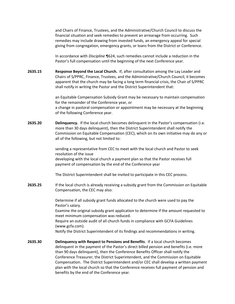and Chairs of Finance, Trustees, and the Administrative/Church Council to discuss the financial situation and seek remedies to prevent an arrearage from occurring. Such remedies may include drawing from invested funds, an emergency appeal for special giving from congregation, emergency grants, or loans from the District or Conference.

In accordance with *Discipline* ¶624, such remedies cannot include a reduction in the Pastor's full compensation until the beginning of the next Conference year.

**2635.15 Response Beyond the Local Church.** If, after consultation among the Lay Leader and Chairs of S/PPRC, Finance, Trustees, and the Administrative/Church Council, it becomes apparent that the church may be facing a long term financial crisis, the Chair of S/PPRC shall notify in writing the Pastor and the District Superintendent that:

> an Equitable Compensation Subsidy Grant may be necessary to maintain compensation for the remainder of the Conference year, or a change in pastoral compensation or appointment may be necessary at the beginning of the following Conference year.

**2635.20 Delinquency.** If the local church becomes delinquent in the Pastor's compensation (i.e. more than 30 days delinquent), then the District Superintendent shall notify the Commission on Equitable Compensation (CEC), which on its own initiative may do any or all of the following, but not limited to:

> sending a representative from CEC to meet with the local church and Pastor to seek resolution of the issue developing with the local church a payment plan so that the Pastor receives full payment of compensation by the end of the Conference year

The District Superintendent shall be invited to participate in this CEC process.

**2635.25** If the local church is already receiving a subsidy grant from the Commission on Equitable Compensation, the CEC may also:

> Determine if all subsidy grant funds allocated to the church were used to pay the Pastor's salary.

Examine the original subsidy grant application to determine if the amount requested to meet minimum compensation was reduced.

Require an outside audit of all church funds in compliance with GCFA Guidelines (www.gcfa.com).

Notify the District Superintendent of its findings and recommendations in writing.

**2635.30 Delinquency with Respect to Pensions and Benefits**. If a local church becomes delinquent in the payment of the Pastor's direct billed pension and benefits (i.e. more than 90 days delinquent), then the Conference Benefits Officer shall notify the Conference Treasurer, the District Superintendent, and the Commission on Equitable Compensation. The District Superintendent and/or CEC shall develop a written payment plan with the local church so that the Conference receives full payment of pension and benefits by the end of the Conference year.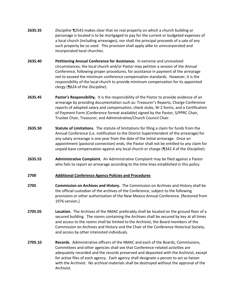- **2635.35** *Discipline* ¶2543 makes clear that no real property on which a church building or parsonage is located is to be mortgaged to pay for the current or budgeted expenses of a local church (including arrearages), nor shall the principal proceeds of a sale of any such property be so used. This provision shall apply alike to unincorporated and incorporated local churches.
- **2635.40 Petitioning Annual Conference for Assistance.** In extreme and unresolved circumstances, the local church and/or Pastor may petition a session of the Annual Conference, following proper procedures, for assistance in payment of the arrearage not to exceed the minimum conference compensation standards. However, it is the responsibility of the local church to provide minimum compensation for its appointed clergy (¶624 of the *Discipline*).
- **2635.45 Pastor's Responsibility.** It is the responsibility of the Pastor to provide evidence of an arrearage by providing documentation such as: Treasurer's Reports, Charge Conference reports of adopted salary and compensation, check stubs, W-2 forms, and a Certification of Payment Form (Conference format available) signed by the Pastor, S/PPRC Chair, Trustee Chair, Treasurer, and Administrative/Church Council Chair.
- **2635.50 Statute of Limitations**. The statute of limitations for filing a claim for funds from the Annual Conference (i.e. notification to the District Superintendent of the arrearage) for any salary arrearage is one year from the date of the initial arrearage. Once an appointment (pastoral connection) ends, the Pastor shall not be entitled to any claim for unpaid base compensation against any local church or charge (¶342.4 of the *Discipline*).
- **2635.55 Administrative Complaint.** An Administrative Complaint may be filed against a Pastor who fails to report an arrearage according to the time lines established in this policy.

#### <span id="page-39-0"></span>**2700 Additional Conference Agency Policies and Procedures**

- **2705 Commission on Archives and History.** The Commission on Archives and History shall be the official custodian of the archives of the Conference, subject to the following provisions or other authorization of the New Mexico Annual Conference. [Restored from 1976 version.]
- **2705.05 Location.** The Archives of the NMAC preferably shall be located on the ground floor of a secured building. The rooms containing the Archives shall be secured by key at all times and access to the rooms shall be limited to the Archivist, the Board members of the Commission on Archives and History and the Chair of the Conference Historical Society, and access by other interested individuals.
- **2705.10 Records.** Administrative officers of the NMAC and each of the Boards, Commissions, Committees and other agencies shall see that Conference-related activities are adequately recorded and the records preserved and deposited with the Archivist, except for active files of each agency. Each agency shall designate a person to act as liaison with the Archivist. No archival materials shall be destroyed without the approval of the Archivist.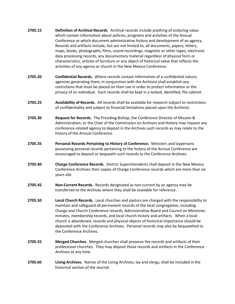- **2705.15 Definition of Archival Records**. Archival records include anything of enduring value which contain information about policies, programs and activities of the Annual Conference or which document administrative history and development of an agency. Records and artifacts include, but are not limited to, all documents, papers, letters, maps, books, photographs, films, sound recordings, magnetic or other tapes, electronic data processing records, any documentary material regardless of physical form or characteristics, articles of furniture or any object of historical value that reflects the activities of any agency or church in the New Mexico Conference.
- **2705.20 Confidential Records.** Where records contain information of a confidential nature, agencies generating them, in conjunction with the Archivist shall establish any restrictions that must be placed on their use in order to protect information or the privacy of an individual. Such records shall be kept in a locked, identified, file cabinet.
- **2705.25 Availability of Records.** All records shall be available for research subject to restrictions of confidentiality and subject to financial limitations placed upon the Archivist.
- **2705.30 Request for Records.** The Presiding Bishop, the Conference Director of Mission & Administration, or the Chair of the Commission on Archives and History may request any conference-related agency to deposit in the Archives such records as may relate to the history of the Annual Conference.
- **2705.35 Personal Records Pertaining to History of Conference.** Ministers and laypersons possessing personal records pertaining to the history of the Annual Conference are encouraged to deposit or bequeath such records to the Conference Archives.
- **2705.40 Charge Conference Records.** District Superintendents shall deposit in the New Mexico Conference Archives their copies of Charge Conference records which are more than six years old.
- **2705.45 Non-Current Records.** Records designated as non-current by an agency may be transferred to the Archives where they shall be available for reference.
- **2705.50 Local Church Records.** Local churches and pastors are charged with the responsibility to maintain and safeguard all permanent records of the local congregation, including Charge and Church Conference records, Administrative Board and Council on Ministries minutes, membership records, and local church history and artifacts. When a local church is abandoned, records and physical objects of historical importance should be deposited with the Conference Archives. Personal records may also be bequeathed to the Conference Archives.
- **2705.55 Merged Churches.** Merged churches shall preserve the records and artifacts of their predecessor churches. They may deposit those records and artifacts in the Conference Archives at any time.
- **2705.60 Living Archives.** Names of the Living Archives, lay and clergy, shall be included in the historical section of the Journal.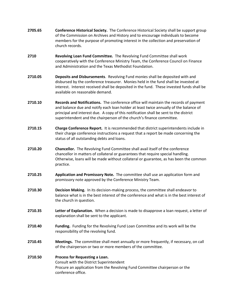- **2705.65 Conference Historical Society.** The Conference Historical Society shall be support group of the Commission on Archives and History and to encourage individuals to become members for the purpose of promoting interest in the collection and preservation of church records.
- **2710 Revolving Loan Fund Committee.** The Revolving Fund Committee shall work cooperatively with the Conference Ministry Team, the Conference Council on Finance and Administration and the Texas Methodist Foundation.
- **2710.05 Deposits and Disbursements**. Revolving Fund monies shall be deposited with and disbursed by the conference treasurer. Monies held in the fund shall be invested at interest. Interest received shall be deposited in the fund. These invested funds shall be available on reasonable demand.
- **2710.10 Records and Notifications.** The conference office will maintain the records of payment and balance due and notify each loan holder at least twice annually of the balance of principal and interest due. A copy of this notification shall be sent to the district superintendent and the chairperson of the church's finance committee.
- **2710.15 Charge Conference Report.** It is recommended that district superintendents include in their charge conference instructions a request that a report be made concerning the status of all outstanding debts and loans.
- **2710.20 Chancellor.** The Revolving Fund Committee shall avail itself of the conference chancellor in matters of collateral or guarantees that require special handling. Otherwise, loans will be made without collateral or guarantee, as has been the common practice.
- **2710.25 Application and Promissory Note.** The committee shall use an application form and promissory note approved by the Conference Ministry Team.
- **2710.30 Decision Making.** In its decision-making process, the committee shall endeavor to balance what is in the best interest of the conference and what is in the best interest of the church in question.
- **2710.35 Letter of Explanation.** When a decision is made to disapprove a loan request, a letter of explanation shall be sent to the applicant.
- **2710.40 Funding.** Funding for the Revolving Fund Loan Committee and its work will be the responsibility of the revolving fund.
- **2710.45 Meetings.** The committee shall meet annually or more frequently, if necessary, on call of the chairperson or two or more members of the committee.

# **2710.50 Process for Requesting a Loan.** Consult with the District Superintendent Procure an application from the Revolving Fund Committee chairperson or the conference office.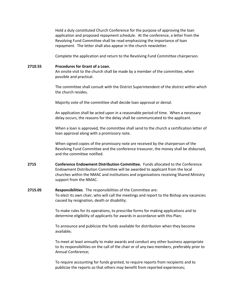Hold a duly constituted Church Conference for the purpose of approving the loan application and proposed repayment schedule. At the conference, a letter from the Revolving Fund Committee shall be read emphasizing the importance of loan repayment. The letter shall also appear in the church newsletter.

Complete the application and return to the Revolving Fund Committee chairperson.

# **2710.55 Procedures for Grant of a Loan.**

An onsite visit to the church shall be made by a member of the committee, when possible and practical.

The committee shall consult with the District Superintendent of the district within which the church resides.

Majority vote of the committee shall decide loan approval or denial.

An application shall be acted upon in a reasonable period of time. When a necessary delay occurs, the reasons for the delay shall be communicated to the applicant.

When a loan is approved, the committee shall send to the church a certification letter of loan approval along with a promissory note.

When signed copies of the promissory note are received by the chairperson of the Revolving Fund Committee and the conference treasurer, the money shall be disbursed, and the committee notified.

**2715 Conference Endowment Distribution Committee.** Funds allocated to the Conference Endowment Distribution Committee will be awarded to applicant from the local churches within the NMAC and institutions and organizations receiving Shared Ministry support from the NMAC.

# **2715.05 Responsibilities**. The responsibilities of the Committee are: To elect its own chair, who will call the meetings and report to the Bishop any vacancies caused by resignation, death or disability;

To make rules for its operations, to prescribe forms for making applications and to determine eligibility of applicants for awards in accordance with this Plan;

To announce and publicize the funds available for distribution when they become available;

To meet at least annually to make awards and conduct any other business appropriate to its responsibilities on the call of the chair or of any two members, preferably prior to Annual Conference;

To require accounting for funds granted, to require reports from recipients and to publicize the reports so that others may benefit from reported experiences;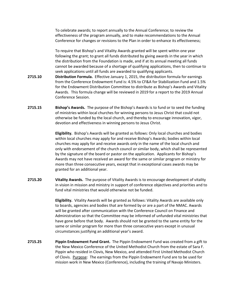To celebrate awards; to report annually to the Annual Conference; to review the effectiveness of the program annually, and to make recommendations to the Annual Conference for changes or revisions to the Plan in order to enhance its effectiveness;

To require that Bishop's and Vitality Awards granted will be spent within one year following the grant; to grant all funds distributed by giving awards in the year in which the distribution from the Foundation is made, and if at its annual meeting all funds cannot be awarded because of a shortage of qualifying applications, then to continue to seek applications until all funds are awarded to qualifying applicants.

- **2715.10 Distribution Formula.** Effective January 1, 2015, the distribution formula for earnings from the Conference Endowment Fund is: 4.5% to CF&A for Stabilization Fund and 1.5% for the Endowment Distribution Committee to distribute as Bishop's Awards and Vitality Awards. This formula change will be reviewed in 2019 for a report to the 2019 Annual Conference Session.
- **2715.15 Bishop's Awards.** The purpose of the Bishop's Awards is to fund or to seed the funding of ministries within local churches for winning persons to Jesus Christ that could not otherwise be funded by the local church, and thereby to encourage innovation, vigor, devotion and effectiveness in winning persons to Jesus Christ.

**Eligibility.** Bishop's Awards will be granted as follows: Only local churches and bodies within local churches may apply for and receive Bishop's Awards; bodies within local churches may apply for and receive awards only in the name of the local church and only with endorsement of the church council or similar body, which shall be represented by the signature of the board or pastor on the application. Applicants for Bishop's Awards may not have received an award for the same or similar program or ministry for more than three consecutive years, except that in exceptional cases awards may be granted for an additional year.

**2715.20 Vitality Awards.** The purpose of Vitality Awards is to encourage development of vitality in vision in mission and ministry in support of conference objectives and priorities and to fund vital ministries that would otherwise not be funded.

> **Eligibility.** Vitality Awards will be granted as follows: Vitality Awards are available only to boards, agencies and bodies that are formed by or are a part of the NMAC. Awards will be granted after communication with the Conference Council on Finance and Administration so that the Committee may be informed of unfunded vital ministries that have gone before that body. Awards should not be granted to the same entity for the same or similar program for more than three consecutive years except in unusual circumstances justifying an additional year's award.

**2715.25 Pippin Endowment Fund Grant.** The Pippin Endowment Fund was created from a gift to the New Mexico Conference of the United Methodist Church from the estate of Sara F. Pippin who resided in Clovis, New Mexico, and attended First United Methodist Church of Clovis. Purpose: The earnings from the Pippin Endowment Fund are to be used for mission work in New Mexico (Conference), including the training of Navajo Ministers.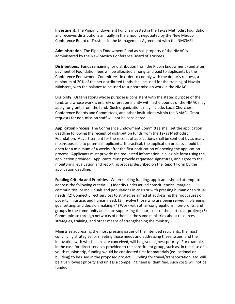**Investment.** The Pippin Endowment Fund is invested in the Texas Methodist Foundation and receives distributions annually in the amount negotiated by the New Mexico Conference Board of Trustees in the Management Agreement with the NMCMFI.

**Administration.** The Pippin Endowment Fund as real property of the NMAC is administered by the New Mexico Conference Board of Trustees.

**Distributions**. Funds remaining for distribution from the Pippin Endowment Fund after payment of Foundation fees will be allocated among, and paid to applicants by the Conference Endowment Committee. In order to comply with the donor's request, a minimum of 20% of the net distributed funds shall be used for the training of Navajo Ministers, with the balance to be used to support mission work in the NMAC.

**Eligibility**. Organizations whose purpose is consistent with the stated purpose of the fund, and whose work is entirely or predominantly within the bounds of the NMAC may apply for grants from the fund. Such organizations may include, Local Churches, Conference Boards and Committees, and other institutions within the NMAC. Grant requests for non-mission staff will not be considered.

**Application Process**. The Conference Endowment Committee shall set the application deadline following the receipt of distribution funds from the Texas Methodist Foundation. Advertisement for the receipt of applications shall be sent out by as many means possible to potential applicants. If practical, the application process should be open for a minimum of 4 weeks after the first notification of opening the application process. Applicants must provide the requested information in a legible form using the application provided. Applicants must provide requested signatures, and agree to the monitoring, evaluation and reporting process described on the Report Form by the application deadline.

**Funding Criteria and Priorities**. When seeking funding, applicants should attempt to address the following criteria: (1) Identify underserved constituencies, marginal communities, or individuals and populations in crisis or with pressing human or spiritual needs; (2) Connect direct services to strategies aimed at addressing the root causes of poverty, injustice, and human need; (3) Involve those who are being served in planning, goal setting, and decision making; (4) Work with other congregations, non-profits, and groups in the community and state supporting the purposes of the particular project; (5) Communicate through networks of others in the same ministries about resources, strategies, training, and other means of strengthening the ministry.

Ministries addressing the most pressing issues of the intended recipients, the most convincing strategies for meeting those needs and addressing these issues, and the innovation with which plans are conceived, will be given highest priority. For example, in the case for direct services provided to the constituent group, such as, in the case of a youth mission trip, funding would be considered first for materials (educational or building) to be used in the proposed project. Funding for travel/transportation, etc. will be given lowest priority and unless a compelling need is identified, such costs will not be funded.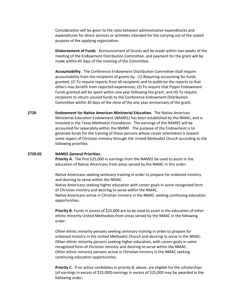Consideration will be given to the ratio between administrative expenditures and expenditures for direct services or activities intended for the carrying out of the stated purpose of the applying organization.

**Disbursement of Funds**. Announcement of Grants will be made within two weeks of the meeting of the Endowment Distribution Committee, and payment for the grant will be made within 45 days of the meeting of the Committee.

**Accountability**. The Conference Endowment Distribution Committee shall require accountability from the recipients of grants by: (1) Requiring accounting for funds granted; (2) To require reports from all recipients and to publicize the reports so that others may benefit from reported experiences; (3) To require that Pippin Endowment Funds granted will be spent within one year following the grant; and (4) To require recipients to return unused funds to the Conference Endowment Distribution Committee within 30 days of the close of the one year anniversary of the grant.

**2720 Endowment for Native American Ministerial Education.** The Native American Ministerial Education Endowment (NAMEE) has been established by the NMAC, and is invested in the Texas Methodist Foundation. The earnings of the NAMEE will be accounted for separately within the NMMF. The purpose of the Endowment is to generate funds for the training of those persons whose career orientation is toward some aspect of Christian ministry through the United Methodist Church according to the following priorities.

#### **2720.05 NAMEE General Priorities.**

**Priority A.** The first \$25,000 in earnings from the NAMEE be used to assist in the education of Native Americans from areas served by the NMAC in this order:

Native Americans seeking seminary training in order to prepare for ordained ministry and desiring to serve within the NMAC.

Native Americans seeking higher education with career goals in some recognized form of Christian ministry and desiring to serve within the NMAC.

Native Americans active in Christian ministry in the NMAC seeking continuing education opportunities.

**Priority B.** Funds in excess of \$25,000 are to be used to assist in the education of other ethnic minority United Methodists from areas served by the NMAC in the following order:

Other ethnic minority persons seeking seminary training in order to prepare for ordained ministry in the United Methodist Church and desiring to serve in the NMAC. Other ethnic minority persons seeking higher education, with career goals in some recognized form of Christian ministry and desiring to serve within the NMAC. Other ethnic minority persons active in Christian ministry in the NMAC seeking continuing education opportunities.

**Priority C.** If no active candidates in priority B, above, are eligible for the scholarships (of earnings in excess of \$25,000) earnings in excess of \$25,000 may be awarded in the following order: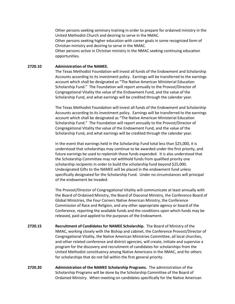Other persons seeking seminary training in order to prepare for ordained ministry in the United Methodist Church and desiring to serve in the NMAC.

Other persons seeking higher education with career goals in some recognized form of Christian ministry and desiring to serve in the NMAC.

Other persons active in Christian ministry in the NMAC seeking continuing education opportunities.

# **2720.10 Administration of the NAMEE.**

The Texas Methodist Foundation will invest all funds of the Endowment and Scholarship Accounts according to its investment policy. Earnings will be transferred to the earnings account which shall be designated as "The Native American Ministerial Education Scholarship Fund." The Foundation will report annually to the Provost/Director of Congregational Vitality the value of the Endowment Fund, and the value of the Scholarship Fund, and what earnings will be credited through the calendar year.

The Texas Methodist Foundation will invest all funds of the Endowment and Scholarship Accounts according to its investment policy. Earnings will be transferred to the earnings account which shall be designated as "The Native American Ministerial Education Scholarship Fund." The Foundation will report annually to the Provost/Director of Congregational Vitality the value of the Endowment Fund, and the value of the Scholarship Fund, and what earnings will be credited through the calendar year.

In the event that earnings held in the Scholarship Fund total less than \$25,000, it is understood that scholarships may continue to be awarded under the first priority, and future earnings be used to replenish those funds expended. It is also understood that the Scholarship Committee may not withhold funds from qualified priority one scholarship recipients in order to build the scholarship fund beyond \$25,000. Undesignated Gifts to the NAMEE will be placed in the endowment fund unless specifically designated for the Scholarship Fund. Under no circumstances will principal of the endowment be invaded.

The Provost/Director of Congregational Vitality will communicate at least annually with the Board of Ordained Ministry, the Board of Diaconal Ministry, the Conference Board of Global Ministries, the Four Corners Native American Ministry, the Conference Commission of Race and Religion, and any other appropriate agency or board of the Conference, reporting the available funds and the conditions upon which funds may be released, paid and applied to the purposes of the Endowment.

- **2720.15 Recruitment of Candidates for NAMEE Scholarship.** The Board of Ministry of the NMAC, working closely with the Bishop and cabinet, the Conference Provost/Director of Congregational Vitality, the Native American Ministries Committee, all local churches, and other related conference and district agencies, will create, initiate and supervise a program for the discovery and recruitment of candidates for scholarships from the United Methodist constituency among Native Americans in the NMAC, and for others for scholarships that do not fall within the first general priority.
- **2720.20 Administration of the NAMEE Scholarship Programs.** The administration of the Scholarship Programs will be done by the Scholarship Committee of the Board of Ordained Ministry. When meeting on candidates specifically for the Native American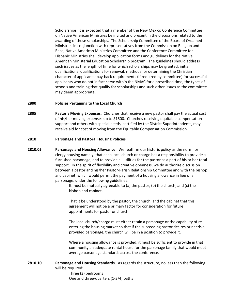Scholarships, it is expected that a member of the New Mexico Conference Committee on Native American Ministries be invited and present in the discussions related to the awarding of these scholarships. The Scholarship Committee of the Board of Ordained Ministries in conjunction with representatives from the Commission on Religion and Race, Native American Ministries Committee and the Conference Committee for Hispanic Ministries shall develop application forms and guidelines for the Native American Ministerial Education Scholarship program. The guidelines should address such issues as the length of time for which scholarships may be granted, initial qualifications; qualifications for renewal; methods for determining the Christian character of applicants; pay-back requirements (if required by committee) for successful applicants who do not in fact serve within the NMAC for a prescribed time, the types of schools and training that qualify for scholarships and such other issues as the committee may deem appropriate.

#### <span id="page-47-0"></span>**2800 Policies Pertaining to the Local Church**

**2805 Pastor's Moving Expenses.** Churches that receive a new pastor shall pay the actual cost of his/her moving expenses up to \$1500. Churches receiving equitable compensation support and others with special needs, certified by the District Superintendents, may receive aid for cost of moving from the Equitable Compensation Commission.

### **2810 Parsonage and Pastoral Housing Policies**

**2810.05 Parsonage and Housing Allowance.** We reaffirm our historic policy as the norm for clergy housing namely, that each local church or charge has a responsibility to provide a furnished parsonage, and to provide all utilities for the pastor as a part of his or her total support.In the spirit of flexibility and creative openness, we do authorize discussion between a pastor and his/her Pastor-Parish Relationship Committee and with the bishop and cabinet, which would permit the payment of a housing allowance in lieu of a parsonage, under the following guidelines:

> It must be mutually agreeable to (a) the pastor, (b) the church, and (c) the bishop and cabinet.

> That it be understood by the pastor, the church, and the cabinet that this agreement will not be a primary factor for consideration for future appointments for pastor or church.

The local church/charge must either retain a parsonage or the capability of reentering the housing market so that if the succeeding pastor desires or needs a provided parsonage, the church will be in a position to provide it.

Where a housing allowance is provided, it must be sufficient to provide in that community an adequate rental house for the parsonage family that would meet average parsonage standards across the conference.

**2810.10 Parsonage and Housing Standards.** As regards the structure, no less than the following will be required:

Three (3) bedrooms One and three-quarters (1-3/4) baths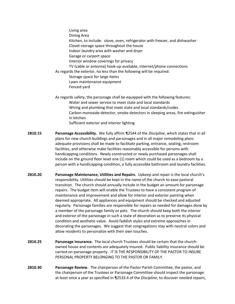Living area Dining Area Kitchen, to include: stove, oven, refrigerator with freezer, and dishwasher Closet-storage space throughout the house Indoor laundry area with washer and dryer Garage or carport space Interior window coverings for privacy TV (cable or antenna) hook-up available, internet/phone connections As regards the exterior, no less than the following will be required: Storage space for large items Lawn maintenance equipment Fenced yard As regards safety, the parsonage shall be equipped with the following features:

- Water and sewer service to meet state and local standards Wiring and plumbing that meet state and local standards/codes Carbon monoxide detector, smoke detectors in sleeping areas, fire extinguisher in kitchen Sufficient exterior and interior lighting
- **2810.15 Parsonage Accessibility.** We fully affirm ¶2544 of the *Discipline*, which states that in all plans for new church buildings and parsonages and in all major remodeling plans adequate provisions shall be made to facilitate parking, entrance, seating, restroom facilities, and otherwise make facilities reasonably accessible for persons with handicapping conditions. Newly constructed or newly purchased parsonages shall include on the ground floor level one (1) room which could be used as a bedroom by a person with a handicapping condition, a fully accessible bathroom and laundry facilities.
- **2810.20 Parsonage Maintenance, Utilities and Repairs.** Upkeep and repair is the local church's responsibility. Utilities should be kept in the name of the church to ease pastoral transition.The church should annually include in the budget an amount for parsonage repairs. The budget item will enable the Trustees to have a consistent program of maintenance and improvement and allow for interior and exterior painting when deemed appropriate. All appliances and equipment should be checked and adjusted regularly. Parsonage families are responsible for repairs as needed for damages done by a member of the parsonage family or pets. The church should keep both the interior and exterior of the parsonage in such a state of decoration as to preserve its physical condition and aesthetic value. Avoid faddish styles and extreme approaches in decorating the parsonages. We suggest that congregations stay with neutral colors and allow residents to personalize with their own touches.
- **2810.25 Parsonage Insurance.** The local church Trustees should be certain that the churchowned house and contents are adequately insured. Public liability insurance should be carried on parsonage property.IT IS THE RESPONSIBILITY OF THE PASTOR TO INSURE PERSONAL PROPERTY BELONGING TO THE PASTOR OR FAMILY.
- **2810.30 Parsonage Review.** The chairperson of the Pastor Parish Committee, the pastor, and the chairperson of the Trustees or Parsonage Committee should inspect the parsonage at least once a year as specified in ¶2533.4 of the *Discipline*, to discover needed repairs,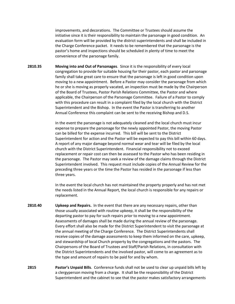improvements, and decorations. The Committee or Trustees should assume the initiative since it is their responsibility to maintain the parsonage in good condition. An evaluation form will be provided by the district superintendents and shall be included in the Charge Conference packet. It needs to be remembered that the parsonage is the pastor's home and inspections should be scheduled in plenty of time to meet the convenience of the parsonage family.

**2810.35 Moving into and Out of Parsonages**. Since it is the responsibility of every local congregation to provide for suitable housing for their pastor, each pastor and parsonage family shall take great care to ensure that the parsonage is left in good condition upon moving to a new appointment. Before a Pastor may consider the parsonage from which he or she is moving as properly vacated, an inspection must be made by the Chairperson of the Board of Trustees, Pastor Parish Relations Committee, the Pastor and where applicable, the Chairperson of the Parsonage Committee. Failure of a Pastor to comply with this procedure can result in a complaint filed by the local church with the District Superintendent and the Bishop. In the event the Pastor is transferring to another Annual Conference this complaint can be sent to the receiving Bishop and D.S.

> In the event the parsonage is not adequately cleaned and the local church must incur expense to prepare the parsonage for the newly appointed Pastor, the moving Pastor can be billed for the expense incurred. This bill will be sent to the District Superintendent for action and the Pastor will be expected to pay this bill within 60 days. A report of any major damage beyond normal wear and tear will be filed by the local church with the District Superintendent. Financial responsibility not to exceed replacement or repair cost can then be assessed to the Pastor who has been residing in the parsonage. The Pastor may seek a review of the damage claims through the District Superintendent involved. This request must include copies of the Annual Review for the preceding three years or the time the Pastor has resided in the parsonage if less than three years.

> In the event the local church has not maintained the property properly and has not met the needs listed in the Annual Report, the local church is responsible for any repairs or replacement.

- **2810.40 Upkeep and Repairs.** In the event that there are any necessary repairs, other than those usually associated with routine upkeep, it shall be the responsibility of the departing pastor to pay for such repairs prior to moving to a new appointment. Assessments of damages shall be made during the annual review of the parsonage. Every effort shall also be made for the District Superintendent to visit the parsonage at the annual meeting of the Charge Conference. The District Superintendents shall receive copies of the damage assessments to keep them informed on the care, upkeep, and stewardship of local Church property by the congregations and the pastors. The Chairpersons of the Board of Trustees and Staff/Parish Relations, in consultation with the District Superintendents and the involved pastor, will come to an agreement as to the type and amount of repairs to be paid for and by whom.
- **2815 Pastor's Unpaid Bills**. Conference funds shall not be used to clear up unpaid bills left by a clergyperson moving from a charge. It shall be the responsibility of the District Superintendent and the cabinet to see that the pastor makes satisfactory arrangements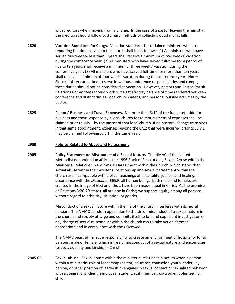with creditors when moving from a charge. In the case of a pastor leaving the ministry, the creditors should follow customary methods of collecting outstanding bills.

- **2820 Vacation Standards for Clergy.** Vacation standards for ordained ministers who are rendering full-time service to the church shall be as follows: (1) All ministers who have served full-time for less than 5 years shall receive a minimum of two weeks' vacation during the conference year. (2) All ministers who have served full-time for a period of five to ten years shall receive a minimum of three weeks' vacation during the conference year. (3) All ministers who have served full-time for more than ten years shall receive a minimum of four weeks' vacation during the conference year. Note: Since ministers are asked to serve in various conference responsibilities and camps, these duties should not be considered as vacation. However, pastors and Pastor-Parish Relations Committees should work out a satisfactory balance of time rendered between conference and district duties, local church needs, and personal outside activities by the pastor.
- **2825 Pastors' Business and Travel Expenses.** No more than 6/12 of the funds set aside for business and travel expense by a local church for reimbursement of expenses shall be claimed prior to July 1 by the pastor of that local church. If no pastoral change transpires in that same appointment, expenses beyond the 6/12 that were incurred prior to July 1 may be claimed following July 1 in the same year.

#### <span id="page-50-0"></span>**2900 Policies Related to Abuse and Harassment**

**2905 Policy Statement on Misconduct of a Sexual Nature.** The NMAC of the United Methodist denomination affirms the 1996 Book of Resolutions, Sexual Abuse within the Ministerial Relationship and Sexual Harassment within the Church, which states that sexual abuse within the ministerial relationship and sexual harassment within the church are incompatible with biblical teachings of hospitality, justice, and healing. In accordance with the *Discipline*, ¶65.F, all human beings, both male and female, are created in the image of God and, thus, have been made equal in Christ. As the promise of Galatians 3:26-29 states, all are one in Christ; we support equity among all persons without regard to ethnicity, situation, or gender.

> Misconduct of a sexual nature within the life of the church interferes with its moral mission. The NMAC stands in opposition to the sin of misconduct of a sexual nature in the church and society at large and commits itself to fair and expedient investigation of any charge of sexual misconduct within the church can to take action deemed appropriate and in compliance with the *Discipline*.

> The NMAC bears affirmative responsibility to create an environment of hospitality for all persons, male or female, which is free of misconduct of a sexual nature and encourages respect, equality and kinship in Christ.

**2905.05 Sexual Abuse.** Sexual abuse within the ministerial relationship occurs when a person within a ministerial role of leadership (pastor, educator, counselor, youth leader, lay person, or other position of leadership) engages in sexual contact or sexualized behavior with a congregant, client, employee, student, staff member, co-worker, volunteer, or child.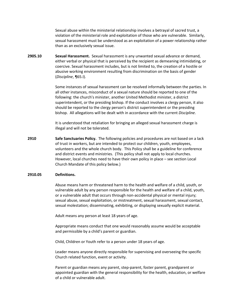Sexual abuse within the ministerial relationship involves a betrayal of sacred trust, a violation of the ministerial role and exploitation of those who are vulnerable. Similarly, sexual harassment must be understood as an exploitation of a power relationship rather than as an exclusively sexual issue.

**2905.10 Sexual Harassment.** Sexual harassment is any unwanted sexual advance or demand, either verbal or physical that is perceived by the recipient as demeaning intimidating, or coercive. Sexual harassment includes, but is not limited to, the creation of a hostile or abusive working environment resulting from discrimination on the basis of gender (*Discipline*, ¶65.I).

> Some instances of sexual harassment can be resolved informally between the parties. In all other instances, misconduct of a sexual nature should be reported to one of the following: the church's minister, another United Methodist minister, a district superintendent, or the presiding bishop. If the conduct involves a clergy person, it also should be reported to the clergy person's district superintendent or the presiding bishop. All allegations will be dealt with in accordance with the current *Discipline*.

It is understood that retaliation for bringing an alleged sexual harassment charge is illegal and will not be tolerated.

**2910 Safe Sanctuaries Policy.** The following policies and procedures are not based on a lack of trust in workers, but are intended to protect our children, youth, employees, volunteers and the whole church body. This Policy shall be a guideline for conference and district events and ministries. (This policy shall not apply to local churches. However, local churches need to have their own policy in place – see section Local Church Mandate of this policy below.)

#### **2910.05 Definitions.**

Abuse means harm or threatened harm to the health and welfare of a child, youth, or vulnerable adult by any person responsible for the health and welfare of a child, youth, or a vulnerable adult that occurs through non-accidental physical or mental injury; sexual abuse, sexual exploitation, or mistreatment, sexual harassment, sexual contact, sexual molestation; disseminating, exhibiting, or displaying sexually explicit material.

Adult means any person at least 18 years of age.

Appropriate means conduct that one would reasonably assume would be acceptable and permissible by a child's parent or guardian.

Child, Children or Youth refer to a person under 18 years of age.

Leader means anyone directly responsible for supervising and overseeing the specific Church related function, event or activity.

Parent or guardian means any parent, step-parent, foster parent, grandparent or appointed guardian with the general responsibility for the health, education, or welfare of a child or vulnerable adult.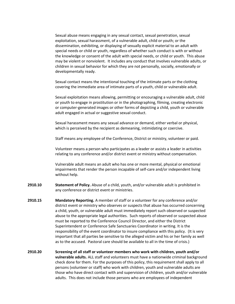Sexual abuse means engaging in any sexual contact, sexual penetration, sexual exploitation, sexual harassment, of a vulnerable adult, child or youth; or the dissemination, exhibiting, or displaying of sexually explicit material to an adult with special needs or child or youth, regardless of whether such conduct is with or without the knowledge or consent of the adult with special needs, or child or youth. This abuse may be violent or nonviolent. It includes any conduct that involves vulnerable adults, or children in sexual behavior for which they are not personally, socially, emotionally or developmentally ready.

Sexual contact means the intentional touching of the intimate parts or the clothing covering the immediate area of intimate parts of a youth, child or vulnerable adult.

Sexual exploitation means allowing, permitting or encouraging a vulnerable adult, child or youth to engage in prostitution or in the photographing, filming, creating electronic or computer-generated images or other forms of depicting a child, youth or vulnerable adult engaged in actual or suggestive sexual conduct.

Sexual harassment means any sexual advance or demand, either verbal or physical, which is perceived by the recipient as demeaning, intimidating or coercive.

Staff means any employee of the Conference, District or ministry, volunteer or paid.

Volunteer means a person who participates as a leader or assists a leader in activities relating to any conference and/or district event or ministry without compensation.

Vulnerable adult means an adult who has one or more mental, physical or emotional impairments that render the person incapable of self-care and/or independent living without help.

- **2910.10 Statement of Policy.** Abuse of a child, youth, and/or vulnerable adult is prohibited in any conference or district event or ministries.
- **2910.15 Mandatory Reporting.** A member of staff or a volunteer for any conference and/or district event or ministry who observes or suspects that abuse has occurred concerning a child, youth, or vulnerable adult must immediately report such observed or suspected abuse to the appropriate legal authorities. Such reports of observed or suspected abuse must be reported to the Conference Council Director, and either the District Superintendent or Conference Safe Sanctuaries Coordinator in writing. It is the responsibility of the event coordinator to insure compliance with this policy. (It is very important that all parties be sensitive to the alleged victim and his or her family as well as to the accused. Pastoral care should be available to all in the time of crisis.)
- **2910.20 Screening of all staff or volunteer members who work with children, youth and/or vulnerable adults.** ALL staff and volunteers must have a nationwide criminal background check done for them. For the purposes of this policy, this requirement shall apply to all persons (volunteer or staff) who work with children, youth and vulnerable adults are those who have direct contact with and supervision of children, youth and/or vulnerable adults. This does not include those persons who are employees of independent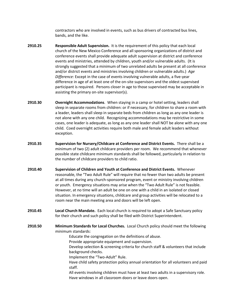contractors who are involved in events, such as bus drivers of contracted bus lines, bands, and the like.

- **2910.25 Responsible Adult Supervision.** It is the requirement of this policy that each local church of the New Mexico Conference and all sponsoring organizations of district and conference events shall provide adequate adult supervision at district and conference events and ministries, attended by children, youth and/or vulnerable adults. (It is strongly suggested that a minimum of two unrelated adults be present at all conference and/or district events and ministries involving children or vulnerable adults.) *Age Difference:* Except in the case of events involving vulnerable adults, a five-year difference in age of at least one of the on-site supervisors and the oldest supervised participant is required. Persons closer in age to those supervised may be acceptable in assisting the primary on-site supervisor(s).
- **2910.30 Overnight Accommodations**. When staying in a camp or hotel setting, leaders shall sleep in separate rooms from children: or if necessary, for children to share a room with a leader, leaders shall sleep in separate beds from children as long as any one leader is not alone with any one child. Recognizing accommodations may be restrictive in some cases, one leader is adequate, as long as any one leader shall NOT be alone with any one child. Coed overnight activities require both male and female adult leaders without exception.
- **2910.35 Supervision for Nursery/Childcare at Conference and District Events.** There shall be a minimum of two (2) adult childcare providers per room. We recommend that whenever possible state childcare minimum standards shall be followed, particularly in relation to the number of childcare providers to child ratio.
- **2910.40 Supervision of Children and Youth at Conference and District Events.** Whenever reasonable, the "Two Adult Rule" will require that no fewer than two adults be present at all times during any church-sponsored program, event or ministry involving children or youth. Emergency situations may arise when the "Two Adult Rule" is not feasible. However, at no time will an adult be one on one with a child in an isolated or closed situation. In emergency situations, childcare and group activities will be relocated to a room near the main meeting area and doors will be left open.
- **2910.45 Local Church Mandate.** Each local church is required to adopt a Safe Sanctuary policy for their church and such policy shall be filed with District Superintendent.
- **2910.50 Minimum Standards for Local Churches.** Local Church policy should meet the following minimum standards:
	- Educate the congregation on the definitions of abuse.
	- Provide appropriate equipment and supervision.
	- Develop selection & screening criteria for church staff & volunteers that include background checks.
	- Implement the "Two-Adult" Rule.
	- Have child safety protection policy annual orientation for all volunteers and paid staff.
	- All events involving children must have at least two adults in a supervisory role. Have windows in all classroom doors or leave doors open.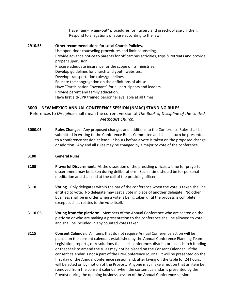Have "sign-in/sign-out" procedures for nursery and preschool age children. Respond to allegations of abuse according to the law.

**2910.55 Other recommendations for Local Church Policies.** Use open-door counseling procedures and limit counseling. Provide advance notice to parents for off campus activities, trips & retreats and provide proper supervision. Procure adequate insurance for the scope of its ministries. Develop guidelines for church and youth websites. Develop transportation rules/guidelines. Educate the congregation on the definitions of abuse. Have "Participation Covenant" for all participants and leaders. Provide parent and family education. Have first aid/CPR trained personnel available at all times.

# <span id="page-54-0"></span>**3000 NEW MEXICO ANNUAL CONFERENCE SESSION (NMAC) STANDING RULES.**

References to *Discipline* shall mean the current version of *The Book of Discipline of the United Methodist Church.*

**3000.05 Rules Changes**. Any proposed changes and additions to the Conference Rules shall be submitted in writing to the Conference Rules Committee and shall in turn be presented to a conference session at least 12 hours before a vote is taken on the proposed change or addition. Any and all rules may be changed by a majority vote of the conference.

# <span id="page-54-1"></span>**3100 General Rules**

- **3105 Prayerful Discernment.** At the discretion of the presiding officer, a time for prayerful discernment may be taken during deliberations. Such a time should be for personal meditation and shall end at the call of the presiding officer.
- **3110 Voting**. Only delegates within the bar of the conference when the vote is taken shall be entitled to vote. No delegate may cast a vote in place of another delegate. No other business shall be in order when a vote is being taken until the process is complete, except such as relates to the vote itself.
- **3110.05 Voting from the platform**. Members of the Annual Conference who are seated on the platform or who are making a presentation to the conference shall be allowed to vote and shall be included in any counted votes taken.
- **3115 Consent Calendar**. All items that do not require Annual Conference action will be placed on the consent calendar, established by the Annual Conference Planning Team. Legislation, reports, or resolutions that seek conference, district, or local church funding or that seek to amend the rules may not be placed on the Consent Calendar. If the consent calendar is not a part of the Pre-Conference Journal, it will be presented on the first day of the Annual Conference session and, after laying on the table for 24 hours, will be acted on by motion of the Provost. Anyone may make a motion that an item be removed from the consent calendar when the consent calendar is presented by the Provost during the opening business session of the Annual Conference session.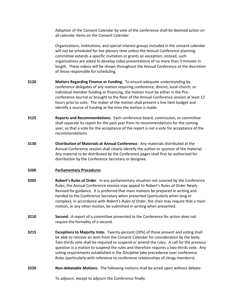Adoption of the Consent Calendar by vote of the conference shall be deemed action on all calendar items on the Consent Calendar.

Organizations, institutions, and special interest groups included in the consent calendar will not be scheduled for live plenary time unless the Annual Conference planning committee extends a specific invitation or grants an exception; instead, such organizations are asked to develop video presentations of no more than 3 minutes in length. These videos will be shown throughout the Annual Conference at the discretion of those responsible for scheduling.

- **3120 Matters Regarding Finance or Funding.** To ensure adequate understanding by conference delegates of any motion requiring conference, district, local church, or individual member funding or financing, the motion must be either in the Preconference Journal or brought to the floor of the Annual Conference session at least 12 hours prior to vote. The maker of the motion shall present a line item budget and identify a source of funding at the time the motion is made.
- **3125 Reports and Recommendations.** Each conference board, commission, or committee shall separate its report for the past year from its recommendations for the coming year, so that a vote for the acceptance of the report is not a vote for acceptance of the recommendations.
- **3130 Distribution of Materials at Annual Conference**. Any materials distributed at the Annual Conference session shall clearly identify the author or sponsor of the material. Any material to be distributed by the Conference pages shall first be authorized for distribution by the Conference Secretary or designee.

#### <span id="page-55-0"></span>**3200 Parliamentary Procedures**

- **3205 Robert's Rules of Order**. In any parliamentary situation not covered by the Conference Rules, the Annual Conference session may appeal to Robert's Rules of Order Newly Revised for guidance. It is preferred that main motions be prepared in writing and handed to the Conference Secretary when presented (particularly when long or complex); in accordance with *Robert's Rules of Order*, the chair may require that a main motion, or any other motion, be submitted in writing when presented.
- **3210 Second**. A report of a committee presented to the Conference for action does not require the formality of a second.
- **3215 Exceptions to Majority Vote.** Twenty-percent (20%) of those present and voting shall be able to remove an item from the Consent Calendar for consideration by the body. Two-thirds vote shall be required to suspend or amend the rules. A call for the previous question is a motion to suspend the rules and therefore requires a two-thirds vote. Any voting requirements established in the *Discipline* take precedence over conference Rules (particularly with reference to conference relationships of clergy members).
- **3220 Non-debatable Motions.** The following motions shall be acted upon without debate:

To adjourn, except to adjourn the Conference finally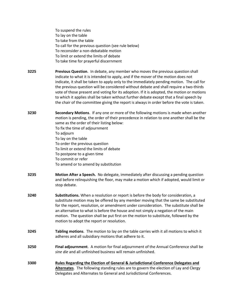To suspend the rules To lay on the table To take from the table To call for the previous question (see rule below) To reconsider a non-debatable motion To limit or extend the limits of debate To take time for prayerful discernment

- **3225 Previous Question**. In debate, any member who moves the previous question shall indicate to what it is intended to apply, and if the mover of the motion does not indicate, it shall be taken to apply only to the immediately pending motion. The call for the previous question will be considered without debate and shall require a two-thirds vote of those present and voting for its adoption. If it is adopted, the motion or motions to which it applies shall be taken without further debate except that a final speech by the chair of the committee giving the report is always in order before the vote is taken.
- **3230 Secondary Motions**. If any one or more of the following motions is made when another motion is pending, the order of their precedence in relation to one another shall be the same as the order of their listing below:

To fix the time of adjournment

To adjourn

To lay on the table

To order the previous question

To limit or extend the limits of debate

To postpone to a given time

To commit or refer

To amend or to amend by substitution

- **3235 Motion After a Speech.** No delegate, immediately after discussing a pending question and before relinquishing the floor, may make a motion which if adopted, would limit or stop debate.
- **3240 Substitutions.** When a resolution or report is before the body for consideration, a substitute motion may be offered by any member moving that the same be substituted for the report, resolution, or amendment under consideration. The substitute shall be an alternative to what is before the house and not simply a negation of the main motion. The question shall be put first on the motion to substitute, followed by the motion to adopt the report or resolution.
- **3245 Tabling motions**. The motion to lay on the table carries with it all motions to which it adheres and all subsidiary motions that adhere to it.
- **3250 Final adjournment**. A motion for final adjournment of the Annual Conference shall be *sine die* and all unfinished business will remain unfinished.
- <span id="page-56-0"></span>**3300 Rules Regarding the Election of General & Jurisdictional Conference Delegates and Alternates**. The following standing rules are to govern the election of Lay and Clergy Delegates and Alternates to General and Jurisdictional Conferences.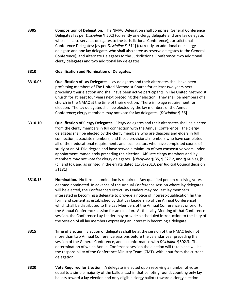**3305 Composition of Delegation.** The NMAC Delegation shall comprise: General Conference Delegates [as per *Discipline* ¶ 502] (currently one clergy delegate and one lay delegate, who shall also serve as delegates to the Jurisdictional Conference); Jurisdictional Conference Delegates: [as per *Discipline* ¶ 514] (currently an additional one clergy delegate and one lay delegate, who shall also serve as reserve delegates to the General Conference); and Alternate Delegates to the Jurisdictional Conference: two additional clergy delegates and two additional lay delegates.

# **3310 Qualification and Nomination of Delegates.**

- **3310.05 Qualification of Lay Delegates**. Lay delegates and their alternates shall have been professing members of The United Methodist Church for at least two years next preceding their election and shall have been active participants in The United Methodist Church for at least four years next preceding their election. They shall be members of a church in the NMAC at the time of their election. There is no age requirement for election. The lay delegates shall be elected by the lay members of the Annual Conference; clergy members may not vote for lay delegates. [*Discipline* ¶ 36]
- **3310.10 Qualification of Clergy Delegates**. Clergy delegates and their alternates shall be elected from the clergy members in full connection with the Annual Conference. The clergy delegates shall be elected by the clergy members who are deacons and elders in full connection, associate members, and those provisional members who have completed all of their educational requirements and local pastors who have completed course of study or an M. Div. degree and have served a minimum of two consecutive years under appointment immediately preceding the election. Affiliate clergy members and lay members may not vote for clergy delegates. [*Discipline* ¶ 35, ¶ 327.2, and ¶ 602(a), (b), (c), and (d), and as printed in the errata dated 11/01/2013, per Judicial Council decision #1181]
- **3310.15 Nomination.** No formal nomination is required. Any qualified person receiving votes is deemed nominated. In advance of the Annual Conference session where lay delegates will be elected, the Conference/District Lay Leaders may request lay members interested in becoming a delegate to provide a notice of interest/qualification [in the form and content as established by that Lay Leadership of the Annual Conference] which shall be distributed to the Lay Members of the Annual Conference at or prior to the Annual Conference session for an election. At the Laity Meeting of that Conference session, the Conference Lay Leader may provide a scheduled introduction to the Laity of the Session of all lay members expressing an interest in becoming a delegate.
- **3315 Time of Election**. Election of delegates shall be at the session of the NMAC held not more than two Annual Conference sessions before the calendar year preceding the session of the General Conference, and in conformance with *Discipline* ¶502.3. The determination of which Annual Conference session the election will take place will be the responsibility of the Conference Ministry Team (CMT), with input from the current delegation.
- **3320 Vote Required for Election**. A delegate is elected upon receiving a number of votes equal to a simple majority of the ballots cast in that balloting round, counting only lay ballots toward a lay election and only eligible clergy ballots toward a clergy election.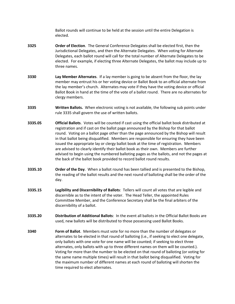Ballot rounds will continue to be held at the session until the entire Delegation is elected.

- **3325 Order of Election**. The General Conference Delegates shall be elected first, then the Jurisdictional Delegates, and then the Alternate Delegates. When voting for Alternate Delegates, each ballot round will call for the total number of Alternate Delegates to be elected. For example, if electing three Alternate Delegates, the ballot may include up to three names.
- **3330 Lay Member Alternates**. If a lay member is going to be absent from the floor, the lay member may entrust his or her voting device or Ballot Book to an official alternate from the lay member's church. Alternates may vote if they have the voting device or official Ballot Book in hand at the time of the vote of a ballot round. There are no alternates for clergy members.
- **3335 Written Ballots.** When electronic voting is not available, the following sub points under rule 3335 shall govern the use of written ballots.
- **3335.05 Official Ballots**. Votes will be counted if cast using the official ballot book distributed at registration and if cast on the ballot page announced by the Bishop for that ballot round. Voting on a ballot page other than the page announced by the Bishop will result in that ballot being disqualified. Members are responsible for ensuring they have been issued the appropriate lay or clergy ballot book at the time of registration. Members are advised to clearly identify their ballot book as their own. Members are further advised to begin using the numbered balloting pages as the ballots, and not the pages at the back of the ballot book provided to record ballot round results.
- **3335.10 Order of the Day**. When a ballot round has been tallied and is presented to the Bishop, the reading of the ballot results and the next round of balloting shall be the order of the day.
- **3335.15 Legibility and Discernibility of Ballots**: Tellers will count all votes that are legible and discernible as to the intent of the voter. The Head Teller, the appointed Rules Committee Member, and the Conference Secretary shall be the final arbiters of the discernibility of a ballot.
- **3335.20 Distribution of Additional Ballots**: In the event all ballots in the Official Ballot Books are used, new ballots will be distributed to those possessing used Ballot Books.
- **3340 Form of Ballot**. Members must vote for no more than the number of delegates or alternates to be elected in that round of balloting (i.e., if seeking to elect one delegate, only ballots with one vote for one name will be counted; if seeking to elect three alternates, only ballots with up to three different names on them will be counted.). Voting for more than the number to be elected on that round of balloting (or voting for the same name multiple times) will result in that ballot being disqualified. Voting for the maximum number of different names at each round of balloting will shorten the time required to elect alternates.